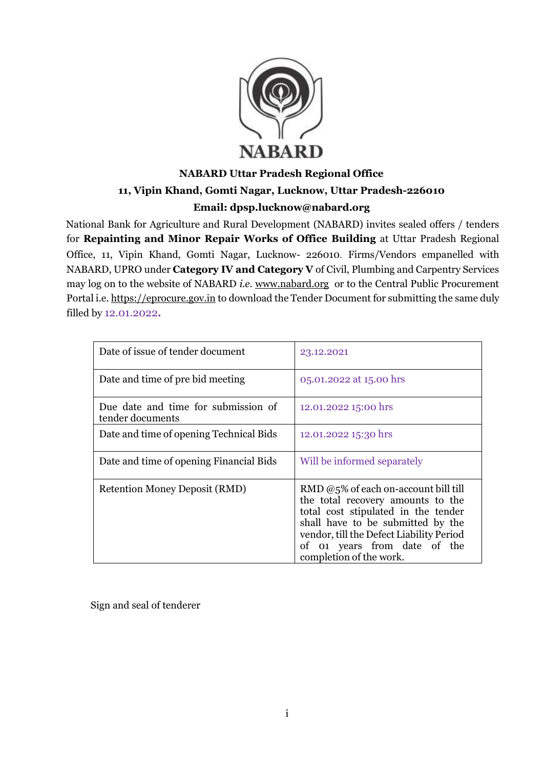

# **NABARD Uttar Pradesh Regional Office 11, Vipin Khand, Gomti Nagar, Lucknow, Uttar Pradesh-226010 Email: dpsp.lucknow@nabard.org**

National Bank for Agriculture and Rural Development (NABARD) invites sealed offers / tenders for **Repainting and Minor Repair Works of Office Building** at Uttar Pradesh Regional Office, 11, Vipin Khand, Gomti Nagar, Lucknow- 226010. Firms/Vendors empanelled with NABARD, UPRO under **Category IV and Category V** of Civil, Plumbing and Carpentry Services may log on to the website of NABARD *i.e*. [www.nabard.org](http://www.nabard.org/) or to the Central Public Procurement Portal i.e. [https://eprocure.gov.in](https://eprocure.gov.in/) to download the Tender Document for submitting the same duly filled by 12.01.2022**.**

| Date of issue of tender document                        | 23.12.2021                                                                                                                                                                                                                                                      |
|---------------------------------------------------------|-----------------------------------------------------------------------------------------------------------------------------------------------------------------------------------------------------------------------------------------------------------------|
| Date and time of pre bid meeting                        | 05.01.2022 at 15.00 hrs                                                                                                                                                                                                                                         |
| Due date and time for submission of<br>tender documents | 12.01.2022 15:00 hrs                                                                                                                                                                                                                                            |
| Date and time of opening Technical Bids                 | 12.01.2022 15:30 hrs                                                                                                                                                                                                                                            |
| Date and time of opening Financial Bids                 | Will be informed separately                                                                                                                                                                                                                                     |
| <b>Retention Money Deposit (RMD)</b>                    | RMD $@5\%$ of each on-account bill till<br>the total recovery amounts to the<br>total cost stipulated in the tender<br>shall have to be submitted by the<br>vendor, till the Defect Liability Period<br>of 01 years from date of the<br>completion of the work. |

Sign and seal of tenderer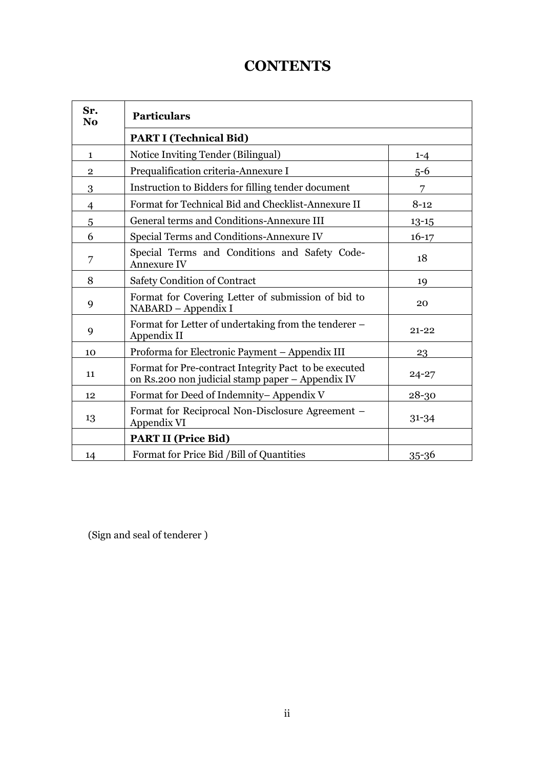# **CONTENTS**

| Sr.<br>N <sub>0</sub> | <b>Particulars</b>                                                                                        |           |
|-----------------------|-----------------------------------------------------------------------------------------------------------|-----------|
|                       | <b>PART I (Technical Bid)</b>                                                                             |           |
| $\mathbf{1}$          | Notice Inviting Tender (Bilingual)                                                                        | $1 - 4$   |
| $\overline{2}$        | Prequalification criteria-Annexure I                                                                      | $5 - 6$   |
| 3                     | Instruction to Bidders for filling tender document                                                        | 7         |
| 4                     | Format for Technical Bid and Checklist-Annexure II                                                        | $8 - 12$  |
| 5                     | General terms and Conditions-Annexure III                                                                 | $13 - 15$ |
| 6                     | Special Terms and Conditions-Annexure IV                                                                  | $16 - 17$ |
| 7                     | Special Terms and Conditions and Safety Code-<br><b>Annexure IV</b>                                       | 18        |
| 8                     | Safety Condition of Contract                                                                              | 19        |
| 9                     | Format for Covering Letter of submission of bid to<br>NABARD - Appendix I                                 | 20        |
| 9                     | Format for Letter of undertaking from the tenderer –<br>Appendix II                                       | $21 - 22$ |
| 10                    | Proforma for Electronic Payment - Appendix III                                                            | 23        |
| 11                    | Format for Pre-contract Integrity Pact to be executed<br>on Rs.200 non judicial stamp paper - Appendix IV | $24 - 27$ |
| 12                    | Format for Deed of Indemnity-Appendix V                                                                   | 28-30     |
| 13                    | Format for Reciprocal Non-Disclosure Agreement –<br>Appendix VI                                           | $31 - 34$ |
|                       | <b>PART II (Price Bid)</b>                                                                                |           |
| 14                    | Format for Price Bid / Bill of Quantities                                                                 | $35 - 36$ |

(Sign and seal of tenderer )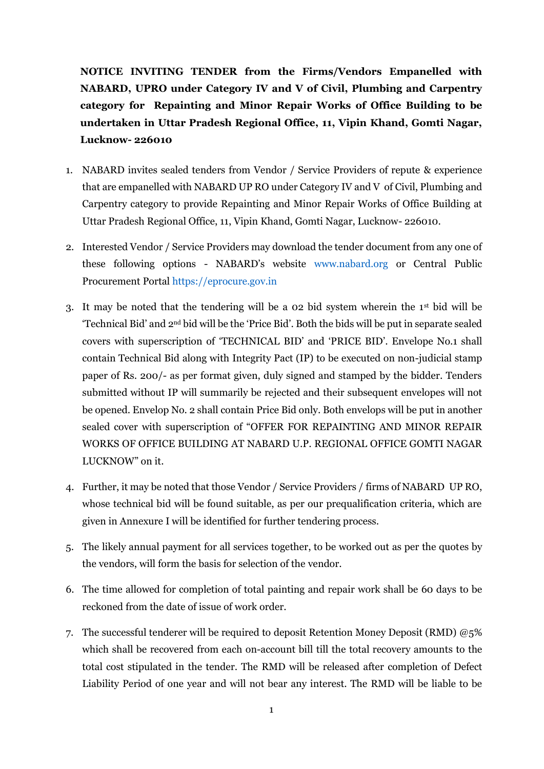**NOTICE INVITING TENDER from the Firms/Vendors Empanelled with NABARD, UPRO under Category IV and V of Civil, Plumbing and Carpentry category for Repainting and Minor Repair Works of Office Building to be undertaken in Uttar Pradesh Regional Office, 11, Vipin Khand, Gomti Nagar, Lucknow- 226010**

- 1. NABARD invites sealed tenders from Vendor / Service Providers of repute & experience that are empanelled with NABARD UP RO under Category IV and V of Civil, Plumbing and Carpentry category to provide Repainting and Minor Repair Works of Office Building at Uttar Pradesh Regional Office, 11, Vipin Khand, Gomti Nagar, Lucknow- 226010.
- 2. Interested Vendor / Service Providers may download the tender document from any one of these following options - NABARD's website [www.nabard.org](http://www.nabard.org/) or Central Public Procurement Porta[l https://eprocure.gov.in](https://eprocure.gov.in/)
- 3. It may be noted that the tendering will be a 02 bid system wherein the 1st bid will be 'Technical Bid' and 2nd bid will be the 'Price Bid'. Both the bids will be put in separate sealed covers with superscription of 'TECHNICAL BID' and 'PRICE BID'. Envelope No.1 shall contain Technical Bid along with Integrity Pact (IP) to be executed on non-judicial stamp paper of Rs. 200/- as per format given, duly signed and stamped by the bidder. Tenders submitted without IP will summarily be rejected and their subsequent envelopes will not be opened. Envelop No. 2 shall contain Price Bid only. Both envelops will be put in another sealed cover with superscription of "OFFER FOR REPAINTING AND MINOR REPAIR WORKS OF OFFICE BUILDING AT NABARD U.P. REGIONAL OFFICE GOMTI NAGAR LUCKNOW" on it.
- 4. Further, it may be noted that those Vendor / Service Providers / firms of NABARD UP RO, whose technical bid will be found suitable, as per our prequalification criteria, which are given in Annexure I will be identified for further tendering process.
- 5. The likely annual payment for all services together, to be worked out as per the quotes by the vendors, will form the basis for selection of the vendor.
- 6. The time allowed for completion of total painting and repair work shall be 60 days to be reckoned from the date of issue of work order.
- 7. The successful tenderer will be required to deposit Retention Money Deposit (RMD) @5% which shall be recovered from each on-account bill till the total recovery amounts to the total cost stipulated in the tender. The RMD will be released after completion of Defect Liability Period of one year and will not bear any interest. The RMD will be liable to be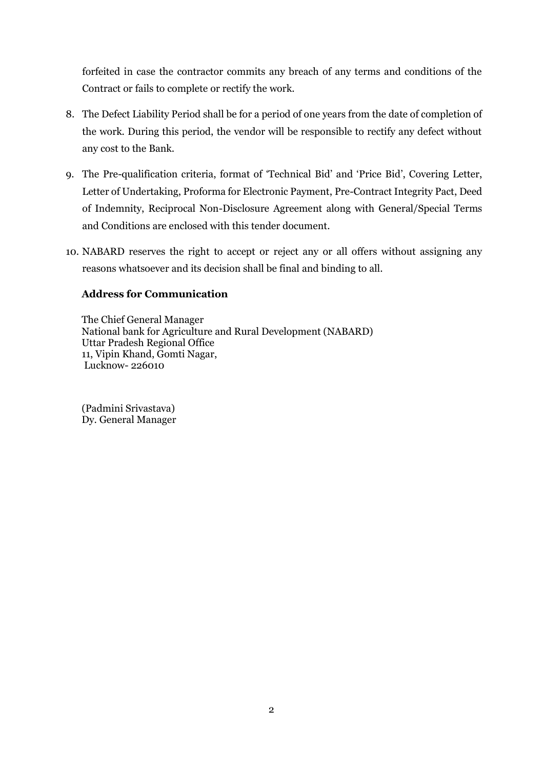forfeited in case the contractor commits any breach of any terms and conditions of the Contract or fails to complete or rectify the work.

- 8. The Defect Liability Period shall be for a period of one years from the date of completion of the work. During this period, the vendor will be responsible to rectify any defect without any cost to the Bank.
- 9. The Pre-qualification criteria, format of 'Technical Bid' and 'Price Bid', Covering Letter, Letter of Undertaking, Proforma for Electronic Payment, Pre-Contract Integrity Pact, Deed of Indemnity, Reciprocal Non-Disclosure Agreement along with General/Special Terms and Conditions are enclosed with this tender document.
- 10. NABARD reserves the right to accept or reject any or all offers without assigning any reasons whatsoever and its decision shall be final and binding to all.

# **Address for Communication**

The Chief General Manager National bank for Agriculture and Rural Development (NABARD) Uttar Pradesh Regional Office 11, Vipin Khand, Gomti Nagar, Lucknow- 226010

(Padmini Srivastava) Dy. General Manager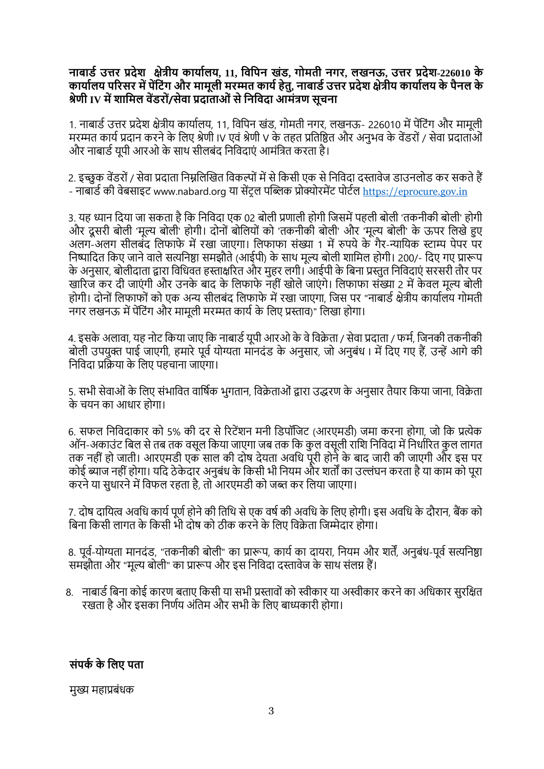# **नाबार्ड उत्तर प्रदेश क्षेत्रीय कायाडलय, 11, विविन खंर्, गोमती नगर, लखनऊ, उत्तर प्रदेश-226010 के कायाडलय िररसर में िेंव ंग और मामूली मरम्मत कायडहेतु, नाबार्डउत्तर प्रदेश क्षेत्रीय कायाडलय के िैनल के श्रेणी IV मेंशावमल िेंर्रों/सेिा प्रदाताओंसेवनविदा आमंत्रण सूचना**

1. नाबार्ड उत्तर प्रदेश क्षेत्रीय कार्यालय, 11, विपिन खंड, गोमती नगर, लखनऊ- 226010 में पेंटिंग और मामूली मरम्मत कार्य प्रदान करने के लिए श्रेणी IV एवं श्रेणी V के तहत प्रतिष्ठित और अनुभव के वेंडरों / सेवा प्रदाताओं और नाबार्ड यूपी आरओ के साथ सीलबंद निविदाएं आमंत्रित करता है।

2. इच्छुक वेंडरों / सेवा प्रदाता निम्नलिखित विकल्पों में से किसी एक से निविदा दस्तावेज डाउनलोड कर सकते हैं - नाबार्ड की वेबसाइट www.nabard.org या सेंटल पब्लिक प्रोक्योरमेंट पोर्टल [https://eprocure.gov.in](https://eprocure.gov.in/)

3. यह ध्यान दिया जा सकता है कि निविदा एक 02 बोली प्रणाली होगी जिसमें पहली बोली 'तकनीकी बोली' होगी और दूसरी बोली 'मूल्य बोली' होगी। दोनों बोलियों को 'तकनीकी बोली' और 'मूल्य बोली' के ऊपर लिखे हुए अलग-अलग सीलबंद लिफाफे में रखा जाएगा। लिफाफा संख्या 1 में रुपये के गैर-न्यायिक स्टाम्प पेपर पर निष्पादित किए जाने वाले सत्यनिष्ठा समझौते (आईपी) के साथ मूल्य बोली शामिल होगी। 200/- दिए गए प्रारूप के अनुसार, बोलीदाता द्वारा विधिवत हस्ताक्षरित और मुहर लगी। आईपी के बिना प्रस्तुत निविदाएं सरसरी तौर पर खारिज कर दी जाएंगी और उनके बाद के लिफाफे नहीं खोले जाएंगे। लिफाफा संख्या 2 में केवल मूल्य बोली होगी। दोनों लिफाफों को एक अन्य सीलबंद लिफाफे में रखा जाएगा, जिस पर "नाबार्ड क्षेत्रीय कार्यालय गोमती नगर लखनऊ में पेंटिंग और मामूली मरम्मत कार्य के लिए प्रस्ताव)" लिखा होगा।

4. इसके अलावा, यह नोट किया जाए कि नाबार्ड यूपी आरओ के वे विक्रेता / सेवा प्रदाता / फर्म, जिनकी तकनीकी बोली उपयुक्त पाई जाएगी, हमारे पूर्व योग्यता मानदंड के अनुसार, जो अनुबंध। में दिए गए हैं, उन्हें आगे की निविदा प्रक्रिया के लिए पहचाना जाएगा।

5. सभी सेवाओं के लिए संभावित वार्षिक भुगतान, विक्रेताओं द्वारा उद्धरण के अनुसार तैयार किया जाना, विक्रेता के चयन का आिार होगा।

6. सफल निविदाकार को 5% की दर से रिटेंशन मनी डिपॉजिट (आरएमडी) जमा करना होगा, जो कि प्रत्येक ऑन-अकाउंट बिल से तब तक वसूल किया जाएगा जब तक कि कुल वसूली राशि निविदा में निर्धारित कुल लागत तक नहीं हो जाती। आरएमडी एक साल की दोष देयता अवधि पूरी होने के बाद जारी की जाएगी और इस पर कोई ब्याज नहीं होगा। यदि ठेकेदार अनुबंध के किसी भी नियम और शर्तों का उल्लंघन करता है या काम को पूरा करने या सुधारने में विफल रहता है, तो आरएमडी को जब्त कर लिया जाएगा।

7. दोष दायित्व अवधि कार्य पूर्ण होने की तिथि से एक वर्ष की अवधि के लिए होगी। इस अवधि के दौरान, बैंक को बिना किसी लागत के किसी भी दोष को ठीक करने के लिए विक्रेता जिम्मेदार होगा।

8. पूर्व-योग्यता मानदंड, "तकनीकी बोली" का प्रारूप, कार्य का दायरा, नियम और शर्तें, अनुबंध-पूर्व सत्यनिष्ठा समझौता और "मूल्य बोली" का प्रारूप और इस निविदा दस्तावेज के साथ संलग्न हैं।

8. नाबार्ड बिना कोई कारण बताए किसी या सभी प्रस्तावों को स्वीकार या अस्वीकार करने का अधिकार सुरक्षित रखता है और इसका निर्णय अंतिम और सभी के लिए बाध्यकारी होगा।

संपर्क के लिए पता

मुख्य महाप्रबंधक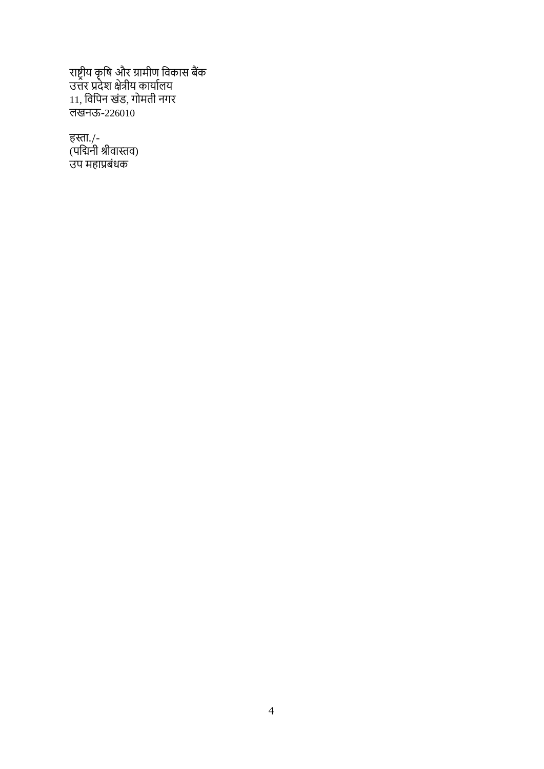राष्ट्रीय कृवष और ग्रामीण विकास बैंक उत्तर प्रदेश क्षेत्रीय कायाडलय 11, विविन खंर्, गोमती नगर लखनऊ-226010

हस्ता./- (पर्चिनी श्रीवास्तव) उप महाप्रबंधक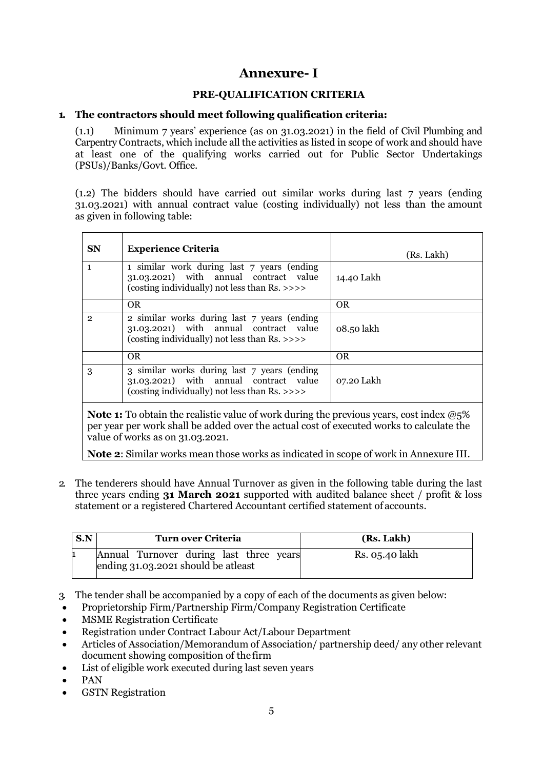# **Annexure- I**

# **PRE-QUALIFICATION CRITERIA**

## **1. The contractors should meet following qualification criteria:**

(1.1) Minimum 7 years' experience (as on 31.03.2021) in the field of Civil Plumbing and Carpentry Contracts, which include all the activities as listed in scope of work and should have at least one of the qualifying works carried out for Public Sector Undertakings (PSUs)/Banks/Govt. Office.

(1.2) The bidders should have carried out similar works during last 7 years (ending 31.03.2021) with annual contract value (costing individually) not less than the amount as given in following table:

| <b>SN</b>      | <b>Experience Criteria</b>                                                                                                                                      | (Rs. Lakh) |
|----------------|-----------------------------------------------------------------------------------------------------------------------------------------------------------------|------------|
| $\overline{1}$ | $\overline{1}$ similar work during last $\overline{7}$ years (ending<br>31.03.2021) with annual contract value<br>(costing individually) not less than Rs. >>>> | 14.40 Lakh |
|                | OR.                                                                                                                                                             | OR.        |
| $\mathbf{2}$   | 2 similar works during last 7 years (ending<br>31.03.2021) with annual contract value<br>(costing individually) not less than Rs. >>>>                          | 08.50 lakh |
|                | OR.                                                                                                                                                             | <b>OR</b>  |
| 3              | 3 similar works during last 7 years (ending<br>31.03.2021) with annual contract value<br>(costing individually) not less than Rs. >>>>                          | 07.20 Lakh |

**Note 1:** To obtain the realistic value of work during the previous years, cost index  $@5\%$ per year per work shall be added over the actual cost of executed works to calculate the value of works as on 31.03.2021.

**Note 2**: Similar works mean those works as indicated in scope of work in Annexure III.

2. The tenderers should have Annual Turnover as given in the following table during the last three years ending **31 March 2021** supported with audited balance sheet / profit & loss statement or a registered Chartered Accountant certified statement of accounts.

| S.N | Turn over Criteria                                                             | (Rs. Lakh)     |
|-----|--------------------------------------------------------------------------------|----------------|
|     | Annual Turnover during last three years<br>ending 31.03.2021 should be atleast | Rs. 05.40 lakh |

- 3. The tender shall be accompanied by a copy of each of the documents as given below:
- Proprietorship Firm/Partnership Firm/Company Registration Certificate
- **MSME Registration Certificate**
- Registration under Contract Labour Act/Labour Department
- Articles of Association/Memorandum of Association/ partnership deed/ any other relevant document showing composition of the firm
- List of eligible work executed during last seven years
- PAN
- GSTN Registration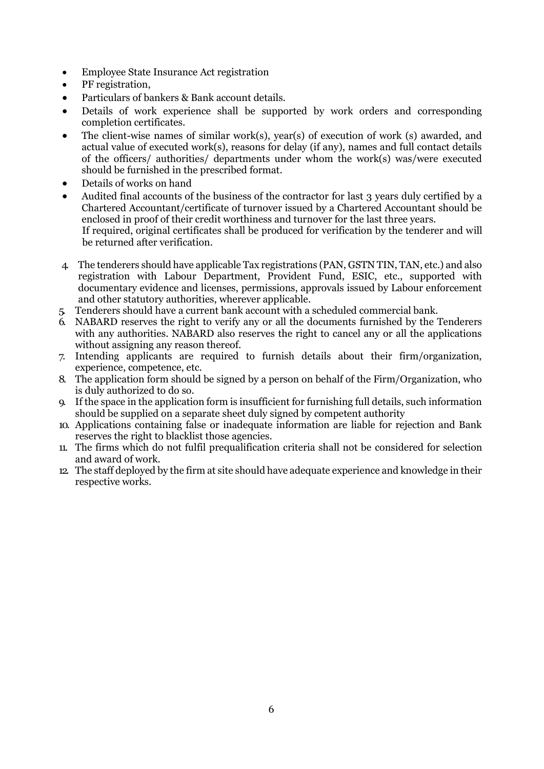- Employee State Insurance Act registration
- PF registration,
- Particulars of bankers & Bank account details.
- Details of work experience shall be supported by work orders and corresponding completion certificates.
- The client-wise names of similar work(s), year(s) of execution of work (s) awarded, and actual value of executed work(s), reasons for delay (if any), names and full contact details of the officers/ authorities/ departments under whom the work(s) was/were executed should be furnished in the prescribed format.
- Details of works on hand
- Audited final accounts of the business of the contractor for last 3 years duly certified by a Chartered Accountant/certificate of turnover issued by a Chartered Accountant should be enclosed in proof of their credit worthiness and turnover for the last three years. If required, original certificates shall be produced for verification by the tenderer and will be returned after verification.
- 4. The tenderers should have applicable Tax registrations (PAN, GSTN TIN, TAN, etc.) and also registration with Labour Department, Provident Fund, ESIC, etc., supported with documentary evidence and licenses, permissions, approvals issued by Labour enforcement and other statutory authorities, wherever applicable.
- 5. Tenderers should have a current bank account with a scheduled commercial bank.
- 6. NABARD reserves the right to verify any or all the documents furnished by the Tenderers with any authorities. NABARD also reserves the right to cancel any or all the applications without assigning any reason thereof.
- 7. Intending applicants are required to furnish details about their firm/organization, experience, competence, etc.
- 8. The application form should be signed by a person on behalf of the Firm/Organization, who is duly authorized to do so.
- 9. If the space in the application form is insufficient for furnishing full details, such information should be supplied on a separate sheet duly signed by competent authority
- 10. Applications containing false or inadequate information are liable for rejection and Bank reserves the right to blacklist those agencies.
- 11. The firms which do not fulfil prequalification criteria shall not be considered for selection and award of work.
- 12. The staff deployed by the firm at site should have adequate experience and knowledge in their respective works.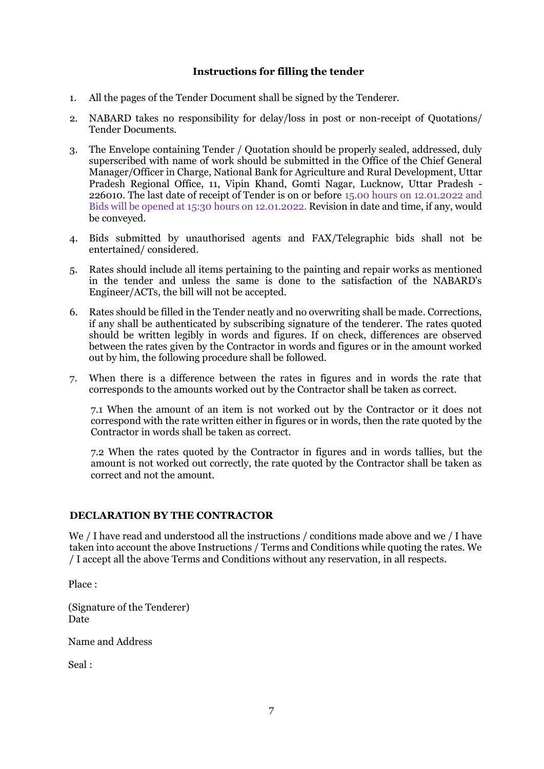## **Instructions for filling the tender**

- 1. All the pages of the Tender Document shall be signed by the Tenderer.
- 2. NABARD takes no responsibility for delay/loss in post or non-receipt of Quotations/ Tender Documents.
- 3. The Envelope containing Tender / Quotation should be properly sealed, addressed, duly superscribed with name of work should be submitted in the Office of the Chief General Manager/Officer in Charge, National Bank for Agriculture and Rural Development, Uttar Pradesh Regional Office, 11, Vipin Khand, Gomti Nagar, Lucknow, Uttar Pradesh - 226010. The last date of receipt of Tender is on or before 15.00 hours on 12.01.2022 and Bids will be opened at 15:30 hours on 12.01.2022. Revision in date and time, if any, would be conveyed.
- 4. Bids submitted by unauthorised agents and FAX/Telegraphic bids shall not be entertained/ considered.
- 5. Rates should include all items pertaining to the painting and repair works as mentioned in the tender and unless the same is done to the satisfaction of the NABARD's Engineer/ACTs, the bill will not be accepted.
- 6. Rates should be filled in the Tender neatly and no overwriting shall be made. Corrections, if any shall be authenticated by subscribing signature of the tenderer. The rates quoted should be written legibly in words and figures. If on check, differences are observed between the rates given by the Contractor in words and figures or in the amount worked out by him, the following procedure shall be followed.
- 7. When there is a difference between the rates in figures and in words the rate that corresponds to the amounts worked out by the Contractor shall be taken as correct.

7.1 When the amount of an item is not worked out by the Contractor or it does not correspond with the rate written either in figures or in words, then the rate quoted by the Contractor in words shall be taken as correct.

7.2 When the rates quoted by the Contractor in figures and in words tallies, but the amount is not worked out correctly, the rate quoted by the Contractor shall be taken as correct and not the amount.

## **DECLARATION BY THE CONTRACTOR**

We / I have read and understood all the instructions / conditions made above and we / I have taken into account the above Instructions / Terms and Conditions while quoting the rates. We / I accept all the above Terms and Conditions without any reservation, in all respects.

Place :

(Signature of the Tenderer) Date

Name and Address

Seal :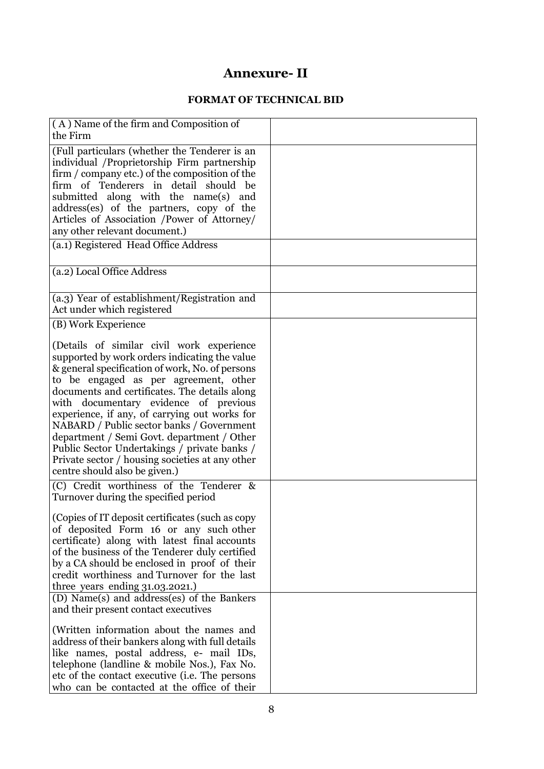# **Annexure- II**

# **FORMAT OF TECHNICAL BID**

| (A) Name of the firm and Composition of<br>the Firm                                        |  |
|--------------------------------------------------------------------------------------------|--|
| (Full particulars (whether the Tenderer is an                                              |  |
| individual /Proprietorship Firm partnership                                                |  |
| firm / company etc.) of the composition of the                                             |  |
| firm of Tenderers in detail should be                                                      |  |
| submitted along with the name(s) and                                                       |  |
| address(es) of the partners, copy of the                                                   |  |
| Articles of Association /Power of Attorney/                                                |  |
| any other relevant document.)                                                              |  |
| (a.1) Registered Head Office Address                                                       |  |
| (a.2) Local Office Address                                                                 |  |
|                                                                                            |  |
| (a.3) Year of establishment/Registration and                                               |  |
| Act under which registered                                                                 |  |
| (B) Work Experience                                                                        |  |
|                                                                                            |  |
| (Details of similar civil work experience<br>supported by work orders indicating the value |  |
| & general specification of work, No. of persons                                            |  |
| to be engaged as per agreement, other                                                      |  |
| documents and certificates. The details along                                              |  |
| with documentary evidence of previous                                                      |  |
| experience, if any, of carrying out works for                                              |  |
| NABARD / Public sector banks / Government                                                  |  |
| department / Semi Govt. department / Other                                                 |  |
| Public Sector Undertakings / private banks /                                               |  |
| Private sector / housing societies at any other<br>centre should also be given.)           |  |
|                                                                                            |  |
| (C) Credit worthiness of the Tenderer &                                                    |  |
| Turnover during the specified period                                                       |  |
| (Copies of IT deposit certificates (such as copy)                                          |  |
| of deposited Form 16 or any such other                                                     |  |
| certificate) along with latest final accounts                                              |  |
| of the business of the Tenderer duly certified                                             |  |
| by a CA should be enclosed in proof of their                                               |  |
| credit worthiness and Turnover for the last                                                |  |
| three years ending $31.03.2021$ .)                                                         |  |
| (D) Name(s) and address(es) of the Bankers<br>and their present contact executives         |  |
|                                                                                            |  |
| (Written information about the names and                                                   |  |
| address of their bankers along with full details                                           |  |
| like names, postal address, e- mail IDs,                                                   |  |
| telephone (landline & mobile Nos.), Fax No.                                                |  |
| etc of the contact executive ( <i>i.e.</i> The persons                                     |  |
| who can be contacted at the office of their                                                |  |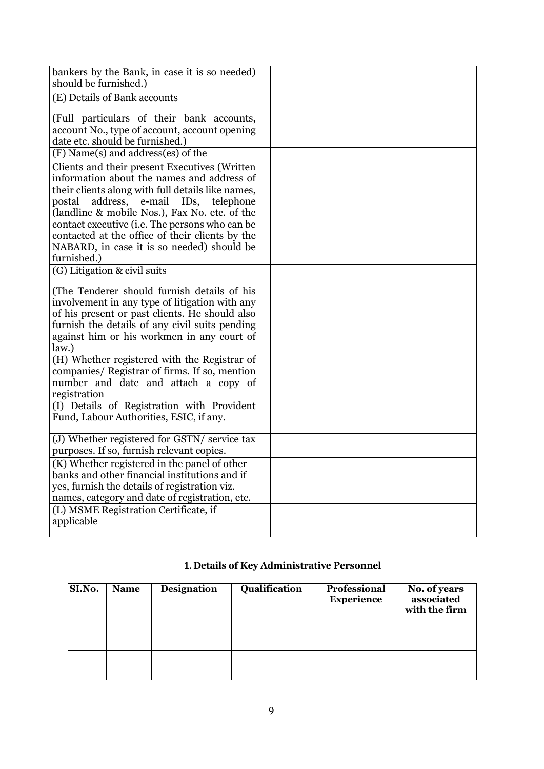| bankers by the Bank, in case it is so needed)<br>should be furnished.)                                                                                                                                                                                                                                                                                                                                          |  |
|-----------------------------------------------------------------------------------------------------------------------------------------------------------------------------------------------------------------------------------------------------------------------------------------------------------------------------------------------------------------------------------------------------------------|--|
| (E) Details of Bank accounts                                                                                                                                                                                                                                                                                                                                                                                    |  |
| (Full particulars of their bank accounts,<br>account No., type of account, account opening<br>date etc. should be furnished.)                                                                                                                                                                                                                                                                                   |  |
| (F) Name(s) and address(es) of the                                                                                                                                                                                                                                                                                                                                                                              |  |
| Clients and their present Executives (Written<br>information about the names and address of<br>their clients along with full details like names,<br>postal address,<br>e-mail IDs, telephone<br>(landline & mobile Nos.), Fax No. etc. of the<br>contact executive (i.e. The persons who can be<br>contacted at the office of their clients by the<br>NABARD, in case it is so needed) should be<br>furnished.) |  |
| (G) Litigation & civil suits                                                                                                                                                                                                                                                                                                                                                                                    |  |
| (The Tenderer should furnish details of his<br>involvement in any type of litigation with any<br>of his present or past clients. He should also<br>furnish the details of any civil suits pending<br>against him or his workmen in any court of<br>law.)                                                                                                                                                        |  |
| (H) Whether registered with the Registrar of<br>companies/ Registrar of firms. If so, mention<br>number and date and attach a copy of<br>registration                                                                                                                                                                                                                                                           |  |
| (I) Details of Registration with Provident<br>Fund, Labour Authorities, ESIC, if any.                                                                                                                                                                                                                                                                                                                           |  |
| (J) Whether registered for GSTN/ service tax<br>purposes. If so, furnish relevant copies.                                                                                                                                                                                                                                                                                                                       |  |
| (K) Whether registered in the panel of other<br>banks and other financial institutions and if<br>yes, furnish the details of registration viz.<br>names, category and date of registration, etc.                                                                                                                                                                                                                |  |
| (L) MSME Registration Certificate, if<br>applicable                                                                                                                                                                                                                                                                                                                                                             |  |

# **1. Details of Key Administrative Personnel**

| SI.No. | <b>Name</b> | <b>Designation</b> | Qualification | <b>Professional</b><br><b>Experience</b> | No. of years<br>associated<br>with the firm |
|--------|-------------|--------------------|---------------|------------------------------------------|---------------------------------------------|
|        |             |                    |               |                                          |                                             |
|        |             |                    |               |                                          |                                             |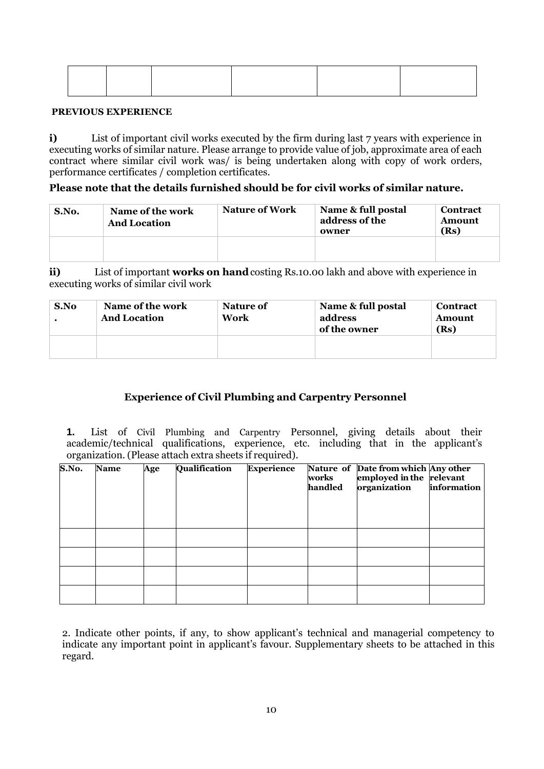#### **PREVIOUS EXPERIENCE**

**i)** List of important civil works executed by the firm during last 7 years with experience in executing works of similar nature. Please arrange to provide value of job, approximate area of each contract where similar civil work was/ is being undertaken along with copy of work orders, performance certificates / completion certificates.

#### **Please note that the details furnished should be for civil works of similar nature.**

| S.No. | Name of the work<br><b>And Location</b> | <b>Nature of Work</b> | Name & full postal<br>address of the<br>owner | <b>Contract</b><br>Amount<br>(Rs) |
|-------|-----------------------------------------|-----------------------|-----------------------------------------------|-----------------------------------|
|       |                                         |                       |                                               |                                   |

**ii)** List of important **works** on hand costing Rs.10.00 lakh and above with experience in executing works of similar civil work

| S.No | Name of the work<br><b>And Location</b> | Nature of<br>Work | Name & full postal<br>address<br>of the owner | <b>Contract</b><br>Amount<br>(Rs) |
|------|-----------------------------------------|-------------------|-----------------------------------------------|-----------------------------------|
|      |                                         |                   |                                               |                                   |

## **Experience of Civil Plumbing and Carpentry Personnel**

**1.** List of Civil Plumbing and Carpentry Personnel, giving details about their academic/technical qualifications, experience, etc. including that in the applicant's organization. (Please attach extra sheets if required).

| S.No. | <b>Name</b> | Age | Qualification | <b>Experience</b> | works<br>handled | Nature of Date from which Any other<br>employed in the relevant<br>organization | information |
|-------|-------------|-----|---------------|-------------------|------------------|---------------------------------------------------------------------------------|-------------|
|       |             |     |               |                   |                  |                                                                                 |             |
|       |             |     |               |                   |                  |                                                                                 |             |
|       |             |     |               |                   |                  |                                                                                 |             |
|       |             |     |               |                   |                  |                                                                                 |             |

2. Indicate other points, if any, to show applicant's technical and managerial competency to indicate any important point in applicant's favour. Supplementary sheets to be attached in this regard.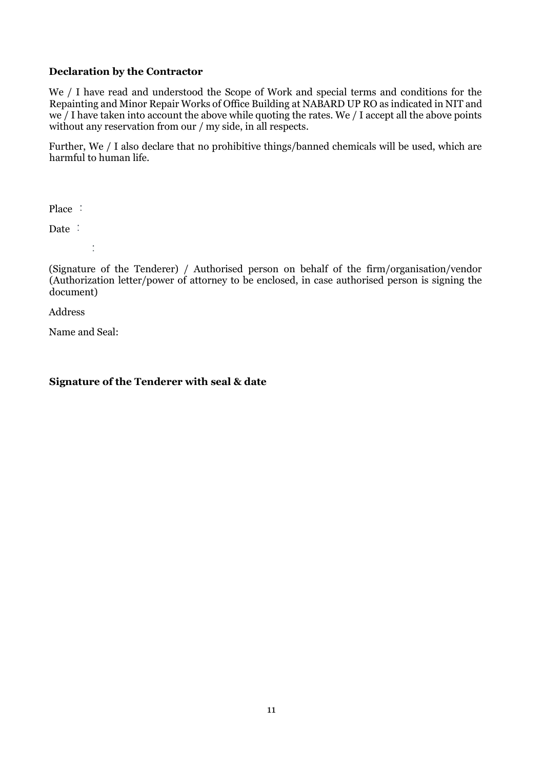## **Declaration by the Contractor**

We / I have read and understood the Scope of Work and special terms and conditions for the Repainting and Minor Repair Works of Office Building at NABARD UP RO as indicated in NIT and we / I have taken into account the above while quoting the rates. We / I accept all the above points without any reservation from our / my side, in all respects.

Further, We / I also declare that no prohibitive things/banned chemicals will be used, which are harmful to human life.

Place :

Date :

 $\overline{\overline{1}}$ 

(Signature of the Tenderer) / Authorised person on behalf of the firm/organisation/vendor (Authorization letter/power of attorney to be enclosed, in case authorised person is signing the document)

Address

Name and Seal:

## **Signature of the Tenderer with seal & date**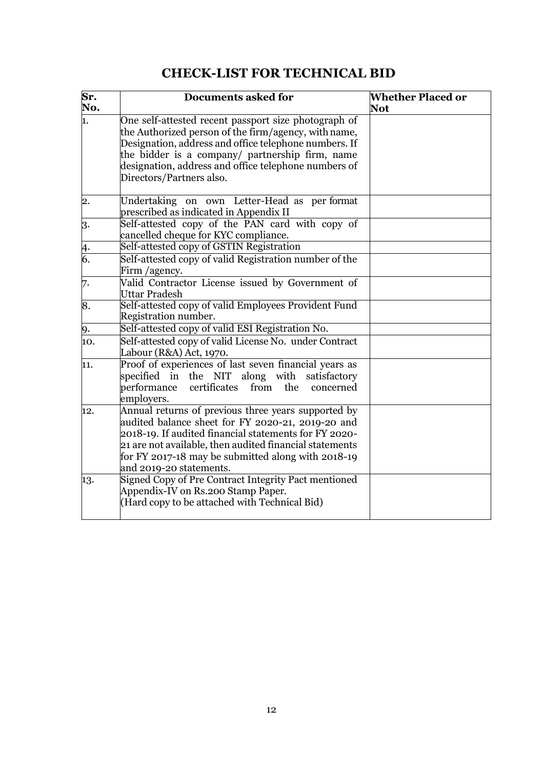| Sr.<br>No.     | <b>Documents asked for</b>                                                                                                                                                                                                                                                                                    | <b>Whether Placed or</b><br><b>Not</b> |
|----------------|---------------------------------------------------------------------------------------------------------------------------------------------------------------------------------------------------------------------------------------------------------------------------------------------------------------|----------------------------------------|
| ī.             | One self-attested recent passport size photograph of<br>the Authorized person of the firm/agency, with name,<br>Designation, address and office telephone numbers. If<br>the bidder is a company/ partnership firm, name<br>designation, address and office telephone numbers of<br>Directors/Partners also.  |                                        |
| $\mathbf{2}$ . | Undertaking on own Letter-Head as per format<br>prescribed as indicated in Appendix II                                                                                                                                                                                                                        |                                        |
| 3.             | Self-attested copy of the PAN card with copy of<br>cancelled cheque for KYC compliance.                                                                                                                                                                                                                       |                                        |
| $\frac{4}{6}$  | Self-attested copy of GSTIN Registration                                                                                                                                                                                                                                                                      |                                        |
|                | Self-attested copy of valid Registration number of the<br>Firm / agency.                                                                                                                                                                                                                                      |                                        |
| 7.             | Valid Contractor License issued by Government of<br><b>Uttar Pradesh</b>                                                                                                                                                                                                                                      |                                        |
| 8.             | Self-attested copy of valid Employees Provident Fund<br>Registration number.                                                                                                                                                                                                                                  |                                        |
| 9.             | Self-attested copy of valid ESI Registration No.                                                                                                                                                                                                                                                              |                                        |
| 10.            | Self-attested copy of valid License No. under Contract<br>Labour (R&A) Act, 1970.                                                                                                                                                                                                                             |                                        |
| 11.            | Proof of experiences of last seven financial years as<br>specified in the NIT along with satisfactory<br>performance<br>from<br>certificates<br>the<br>concerned<br>employers.                                                                                                                                |                                        |
| 12.            | Annual returns of previous three years supported by<br>audited balance sheet for FY 2020-21, 2019-20 and<br>2018-19. If audited financial statements for FY 2020-<br>21 are not available, then audited financial statements<br>for FY 2017-18 may be submitted along with 2018-19<br>and 2019-20 statements. |                                        |
| 13.            | Signed Copy of Pre Contract Integrity Pact mentioned<br>Appendix-IV on Rs.200 Stamp Paper.<br>(Hard copy to be attached with Technical Bid)                                                                                                                                                                   |                                        |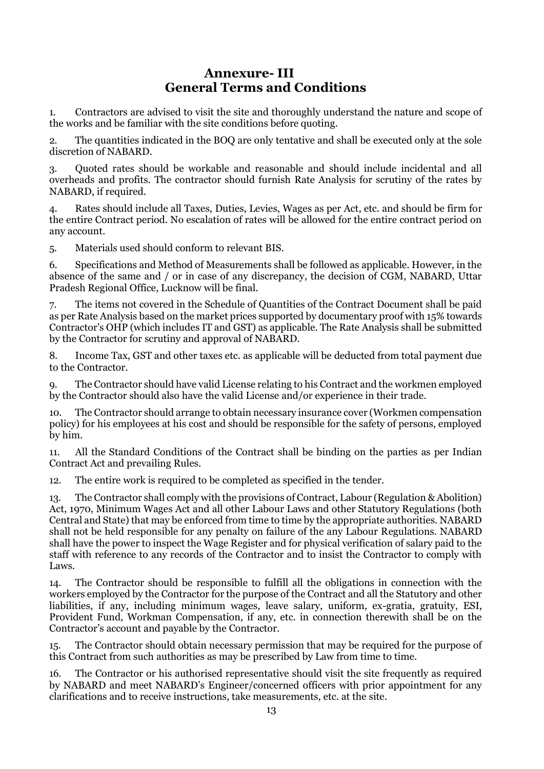# **Annexure- III General Terms and Conditions**

1. Contractors are advised to visit the site and thoroughly understand the nature and scope of the works and be familiar with the site conditions before quoting.

2. The quantities indicated in the BOQ are only tentative and shall be executed only at the sole discretion of NABARD.

3. Quoted rates should be workable and reasonable and should include incidental and all overheads and profits. The contractor should furnish Rate Analysis for scrutiny of the rates by NABARD, if required.

4. Rates should include all Taxes, Duties, Levies, Wages as per Act, etc. and should be firm for the entire Contract period. No escalation of rates will be allowed for the entire contract period on any account.

5. Materials used should conform to relevant BIS.

6. Specifications and Method of Measurements shall be followed as applicable. However, in the absence of the same and / or in case of any discrepancy, the decision of CGM, NABARD, Uttar Pradesh Regional Office, Lucknow will be final.

7. The items not covered in the Schedule of Quantities of the Contract Document shall be paid as per Rate Analysis based on the market prices supported by documentary proof with 15% towards Contractor's OHP (which includes IT and GST) as applicable. The Rate Analysis shall be submitted by the Contractor for scrutiny and approval of NABARD.

8. Income Tax, GST and other taxes etc. as applicable will be deducted from total payment due to the Contractor.

9. The Contractor should have valid License relating to his Contract and the workmen employed by the Contractor should also have the valid License and/or experience in their trade.

10. The Contractor should arrange to obtain necessary insurance cover (Workmen compensation policy) for his employees at his cost and should be responsible for the safety of persons, employed by him.

11. All the Standard Conditions of the Contract shall be binding on the parties as per Indian Contract Act and prevailing Rules.

12. The entire work is required to be completed as specified in the tender.

13. The Contractor shall comply with the provisions of Contract, Labour (Regulation & Abolition) Act, 1970, Minimum Wages Act and all other Labour Laws and other Statutory Regulations (both Central and State) that may be enforced from time to time by the appropriate authorities. NABARD shall not be held responsible for any penalty on failure of the any Labour Regulations. NABARD shall have the power to inspect the Wage Register and for physical verification of salary paid to the staff with reference to any records of the Contractor and to insist the Contractor to comply with Laws.

14. The Contractor should be responsible to fulfill all the obligations in connection with the workers employed by the Contractor for the purpose of the Contract and all the Statutory and other liabilities, if any, including minimum wages, leave salary, uniform, ex-gratia, gratuity, ESI, Provident Fund, Workman Compensation, if any, etc. in connection therewith shall be on the Contractor's account and payable by the Contractor.

15. The Contractor should obtain necessary permission that may be required for the purpose of this Contract from such authorities as may be prescribed by Law from time to time.

16. The Contractor or his authorised representative should visit the site frequently as required by NABARD and meet NABARD's Engineer/concerned officers with prior appointment for any clarifications and to receive instructions, take measurements, etc. at the site.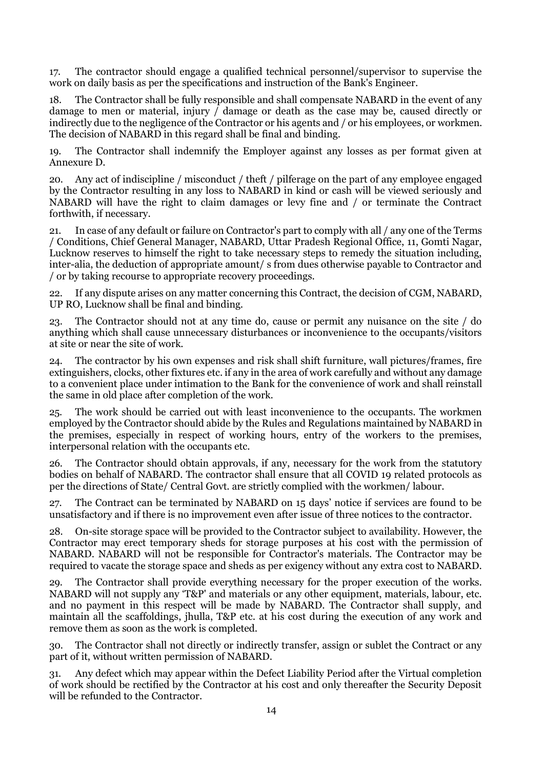17. The contractor should engage a qualified technical personnel/supervisor to supervise the work on daily basis as per the specifications and instruction of the Bank's Engineer.

18. The Contractor shall be fully responsible and shall compensate NABARD in the event of any damage to men or material, injury  $\overline{\phantom{a}}$  damage or death as the case may be, caused directly or indirectly due to the negligence of the Contractor or his agents and / or his employees, or workmen. The decision of NABARD in this regard shall be final and binding.

19. The Contractor shall indemnify the Employer against any losses as per format given at Annexure D.

20. Any act of indiscipline / misconduct / theft / pilferage on the part of any employee engaged by the Contractor resulting in any loss to NABARD in kind or cash will be viewed seriously and NABARD will have the right to claim damages or levy fine and / or terminate the Contract forthwith, if necessary.

21. In case of any default or failure on Contractor's part to comply with all / any one of the Terms / Conditions, Chief General Manager, NABARD, Uttar Pradesh Regional Office, 11, Gomti Nagar, Lucknow reserves to himself the right to take necessary steps to remedy the situation including, inter-alia, the deduction of appropriate amount/ s from dues otherwise payable to Contractor and / or by taking recourse to appropriate recovery proceedings.

22. If any dispute arises on any matter concerning this Contract, the decision of CGM, NABARD, UP RO, Lucknow shall be final and binding.

23. The Contractor should not at any time do, cause or permit any nuisance on the site / do anything which shall cause unnecessary disturbances or inconvenience to the occupants/visitors at site or near the site of work.

24. The contractor by his own expenses and risk shall shift furniture, wall pictures/frames, fire extinguishers, clocks, other fixtures etc. if any in the area of work carefully and without any damage to a convenient place under intimation to the Bank for the convenience of work and shall reinstall the same in old place after completion of the work.

25. The work should be carried out with least inconvenience to the occupants. The workmen employed by the Contractor should abide by the Rules and Regulations maintained by NABARD in the premises, especially in respect of working hours, entry of the workers to the premises, interpersonal relation with the occupants etc.

26. The Contractor should obtain approvals, if any, necessary for the work from the statutory bodies on behalf of NABARD. The contractor shall ensure that all COVID 19 related protocols as per the directions of State/ Central Govt. are strictly complied with the workmen/ labour.

27. The Contract can be terminated by NABARD on 15 days' notice if services are found to be unsatisfactory and if there is no improvement even after issue of three notices to the contractor.

28. On-site storage space will be provided to the Contractor subject to availability. However, the Contractor may erect temporary sheds for storage purposes at his cost with the permission of NABARD. NABARD will not be responsible for Contractor's materials. The Contractor may be required to vacate the storage space and sheds as per exigency without any extra cost to NABARD.

29. The Contractor shall provide everything necessary for the proper execution of the works. NABARD will not supply any 'T&P' and materials or any other equipment, materials, labour, etc. and no payment in this respect will be made by NABARD. The Contractor shall supply, and maintain all the scaffoldings, jhulla, T&P etc. at his cost during the execution of any work and remove them as soon as the work is completed.

30. The Contractor shall not directly or indirectly transfer, assign or sublet the Contract or any part of it, without written permission of NABARD.

31. Any defect which may appear within the Defect Liability Period after the Virtual completion of work should be rectified by the Contractor at his cost and only thereafter the Security Deposit will be refunded to the Contractor.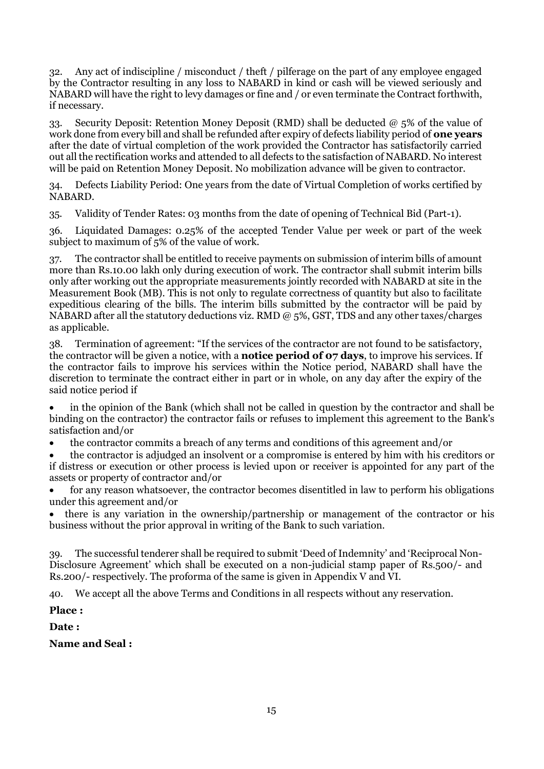32. Any act of indiscipline / misconduct / theft / pilferage on the part of any employee engaged by the Contractor resulting in any loss to NABARD in kind or cash will be viewed seriously and NABARD will have the right to levy damages or fine and / or even terminate the Contract forthwith, if necessary.

33. Security Deposit: Retention Money Deposit (RMD) shall be deducted  $@5\%$  of the value of work done from every bill and shall be refunded after expiry of defects liability period of **one years** after the date of virtual completion of the work provided the Contractor has satisfactorily carried out all the rectification works and attended to all defects to the satisfaction of NABARD. No interest will be paid on Retention Money Deposit. No mobilization advance will be given to contractor.

34. Defects Liability Period: One years from the date of Virtual Completion of works certified by NABARD.

35. Validity of Tender Rates: 03 months from the date of opening of Technical Bid (Part-1).

36. Liquidated Damages: 0.25% of the accepted Tender Value per week or part of the week subject to maximum of 5% of the value of work.

37. The contractor shall be entitled to receive payments on submission of interim bills of amount more than Rs.10.00 lakh only during execution of work. The contractor shall submit interim bills only after working out the appropriate measurements jointly recorded with NABARD at site in the Measurement Book (MB). This is not only to regulate correctness of quantity but also to facilitate expeditious clearing of the bills. The interim bills submitted by the contractor will be paid by NABARD after all the statutory deductions viz. RMD @ 5%, GST, TDS and any other taxes/charges as applicable.

38. Termination of agreement: "If the services of the contractor are not found to be satisfactory, the contractor will be given a notice, with a **notice period of 07 days**, to improve his services. If the contractor fails to improve his services within the Notice period, NABARD shall have the discretion to terminate the contract either in part or in whole, on any day after the expiry of the said notice period if

• in the opinion of the Bank (which shall not be called in question by the contractor and shall be binding on the contractor) the contractor fails or refuses to implement this agreement to the Bank's satisfaction and/or

• the contractor commits a breach of any terms and conditions of this agreement and/or

• the contractor is adjudged an insolvent or a compromise is entered by him with his creditors or if distress or execution or other process is levied upon or receiver is appointed for any part of the assets or property of contractor and/or

• for any reason whatsoever, the contractor becomes disentitled in law to perform his obligations under this agreement and/or

• there is any variation in the ownership/partnership or management of the contractor or his business without the prior approval in writing of the Bank to such variation.

39. The successful tenderer shall be required to submit 'Deed of Indemnity' and 'Reciprocal Non-Disclosure Agreement' which shall be executed on a non-judicial stamp paper of Rs.500/- and Rs.200/- respectively. The proforma of the same is given in Appendix V and VI.

40. We accept all the above Terms and Conditions in all respects without any reservation.

**Place :**

**Date :**

**Name and Seal :**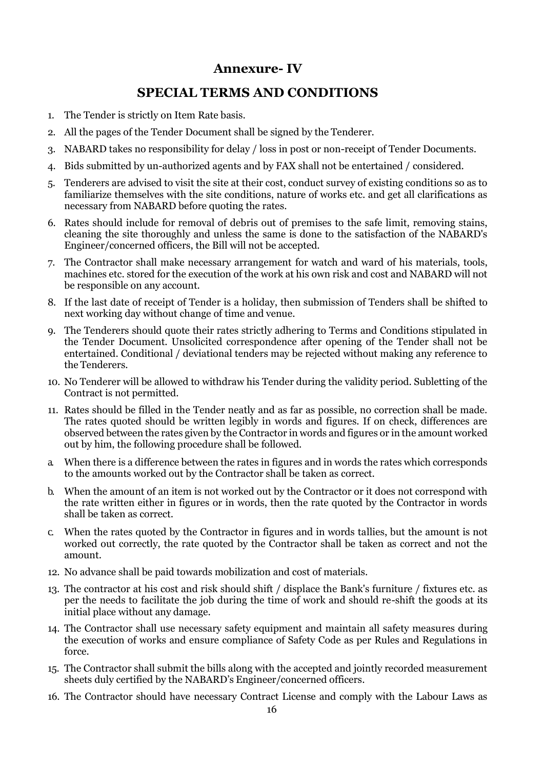# **Annexure- IV**

# **SPECIAL TERMS AND CONDITIONS**

- 1. The Tender is strictly on Item Rate basis.
- 2. All the pages of the Tender Document shall be signed by the Tenderer.
- 3. NABARD takes no responsibility for delay / loss in post or non-receipt of Tender Documents.
- 4. Bids submitted by un-authorized agents and by FAX shall not be entertained / considered.
- 5. Tenderers are advised to visit the site at their cost, conduct survey of existing conditions so as to familiarize themselves with the site conditions, nature of works etc. and get all clarifications as necessary from NABARD before quoting the rates.
- 6. Rates should include for removal of debris out of premises to the safe limit, removing stains, cleaning the site thoroughly and unless the same is done to the satisfaction of the NABARD's Engineer/concerned officers, the Bill will not be accepted.
- 7. The Contractor shall make necessary arrangement for watch and ward of his materials, tools, machines etc. stored for the execution of the work at his own risk and cost and NABARD will not be responsible on any account.
- 8. If the last date of receipt of Tender is a holiday, then submission of Tenders shall be shifted to next working day without change of time and venue.
- 9. The Tenderers should quote their rates strictly adhering to Terms and Conditions stipulated in the Tender Document. Unsolicited correspondence after opening of the Tender shall not be entertained. Conditional / deviational tenders may be rejected without making any reference to the Tenderers.
- 10. No Tenderer will be allowed to withdraw his Tender during the validity period. Subletting of the Contract is not permitted.
- 11. Rates should be filled in the Tender neatly and as far as possible, no correction shall be made. The rates quoted should be written legibly in words and figures. If on check, differences are observed between the rates given by the Contractor in words and figures or in the amount worked out by him, the following procedure shall be followed.
- a. When there is a difference between the rates in figures and in words the rates which corresponds to the amounts worked out by the Contractor shall be taken as correct.
- b. When the amount of an item is not worked out by the Contractor or it does not correspond with the rate written either in figures or in words, then the rate quoted by the Contractor in words shall be taken as correct.
- c. When the rates quoted by the Contractor in figures and in words tallies, but the amount is not worked out correctly, the rate quoted by the Contractor shall be taken as correct and not the amount.
- 12. No advance shall be paid towards mobilization and cost of materials.
- 13. The contractor at his cost and risk should shift / displace the Bank's furniture / fixtures etc. as per the needs to facilitate the job during the time of work and should re-shift the goods at its initial place without any damage.
- 14. The Contractor shall use necessary safety equipment and maintain all safety measures during the execution of works and ensure compliance of Safety Code as per Rules and Regulations in force.
- 15. The Contractor shall submit the bills along with the accepted and jointly recorded measurement sheets duly certified by the NABARD's Engineer/concerned officers.
- 16. The Contractor should have necessary Contract License and comply with the Labour Laws as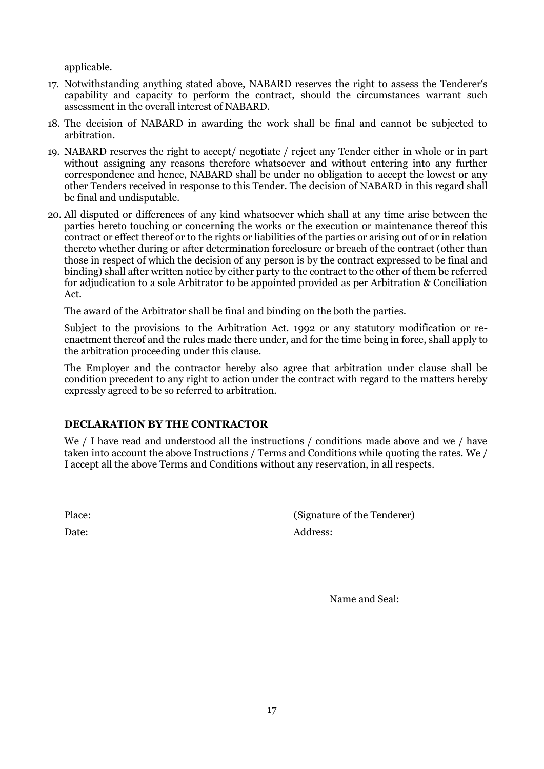applicable.

- 17. Notwithstanding anything stated above, NABARD reserves the right to assess the Tenderer's capability and capacity to perform the contract, should the circumstances warrant such assessment in the overall interest of NABARD.
- 18. The decision of NABARD in awarding the work shall be final and cannot be subjected to arbitration.
- 19. NABARD reserves the right to accept/ negotiate / reject any Tender either in whole or in part without assigning any reasons therefore whatsoever and without entering into any further correspondence and hence, NABARD shall be under no obligation to accept the lowest or any other Tenders received in response to this Tender. The decision of NABARD in this regard shall be final and undisputable.
- 20. All disputed or differences of any kind whatsoever which shall at any time arise between the parties hereto touching or concerning the works or the execution or maintenance thereof this contract or effect thereof or to the rights or liabilities of the parties or arising out of or in relation thereto whether during or after determination foreclosure or breach of the contract (other than those in respect of which the decision of any person is by the contract expressed to be final and binding) shall after written notice by either party to the contract to the other of them be referred for adjudication to a sole Arbitrator to be appointed provided as per Arbitration & Conciliation Act.

The award of the Arbitrator shall be final and binding on the both the parties.

Subject to the provisions to the Arbitration Act. 1992 or any statutory modification or reenactment thereof and the rules made there under, and for the time being in force, shall apply to the arbitration proceeding under this clause.

The Employer and the contractor hereby also agree that arbitration under clause shall be condition precedent to any right to action under the contract with regard to the matters hereby expressly agreed to be so referred to arbitration.

## **DECLARATION BY THE CONTRACTOR**

We / I have read and understood all the instructions / conditions made above and we / have taken into account the above Instructions / Terms and Conditions while quoting the rates. We / I accept all the above Terms and Conditions without any reservation, in all respects.

Place: (Signature of the Tenderer) Date: Address:

Name and Seal: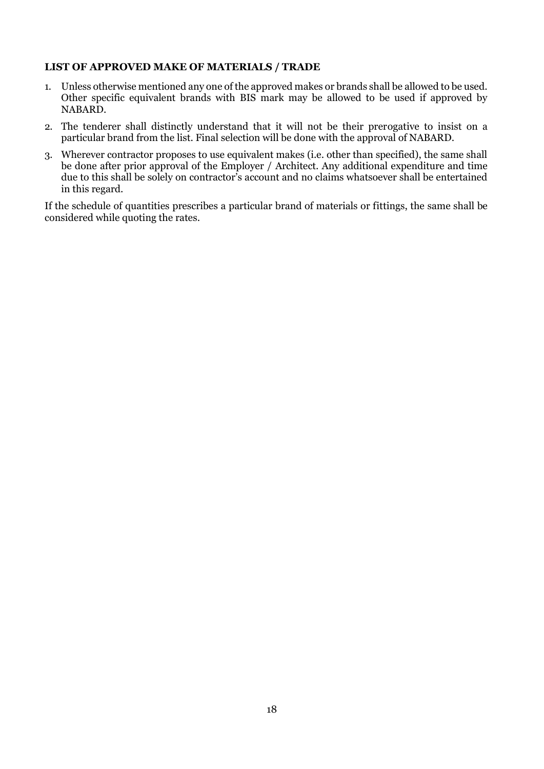## **LIST OF APPROVED MAKE OF MATERIALS / TRADE**

- 1. Unless otherwise mentioned any one of the approved makes or brands shall be allowed to be used. Other specific equivalent brands with BIS mark may be allowed to be used if approved by NABARD.
- 2. The tenderer shall distinctly understand that it will not be their prerogative to insist on a particular brand from the list. Final selection will be done with the approval of NABARD.
- 3. Wherever contractor proposes to use equivalent makes (i.e. other than specified), the same shall be done after prior approval of the Employer / Architect. Any additional expenditure and time due to this shall be solely on contractor's account and no claims whatsoever shall be entertained in this regard.

If the schedule of quantities prescribes a particular brand of materials or fittings, the same shall be considered while quoting the rates.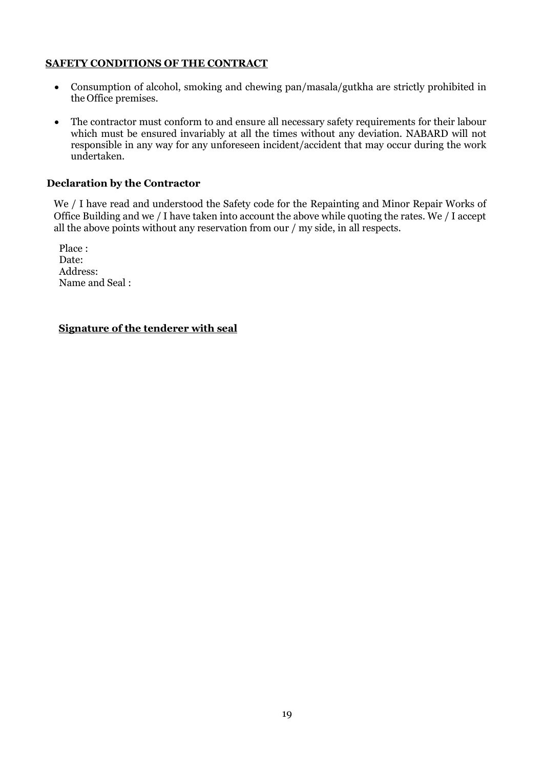### **SAFETY CONDITIONS OF THE CONTRACT**

- Consumption of alcohol, smoking and chewing pan/masala/gutkha are strictly prohibited in the Office premises.
- The contractor must conform to and ensure all necessary safety requirements for their labour which must be ensured invariably at all the times without any deviation. NABARD will not responsible in any way for any unforeseen incident/accident that may occur during the work undertaken.

#### **Declaration by the Contractor**

We / I have read and understood the Safety code for the Repainting and Minor Repair Works of Office Building and we / I have taken into account the above while quoting the rates. We / I accept all the above points without any reservation from our / my side, in all respects.

Place : Date: Address: Name and Seal :

**Signature of the tenderer with seal**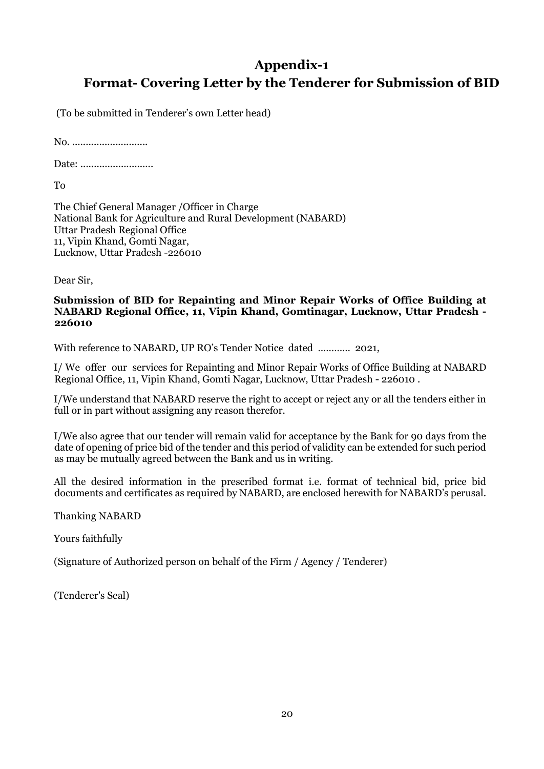# **Appendix-1 Format- Covering Letter by the Tenderer for Submission of BID**

(To be submitted in Tenderer's own Letter head)

No. ............................

Date: ...........................

To

The Chief General Manager /Officer in Charge National Bank for Agriculture and Rural Development (NABARD) Uttar Pradesh Regional Office 11, Vipin Khand, Gomti Nagar, Lucknow, Uttar Pradesh -226010

Dear Sir,

#### **Submission of BID for Repainting and Minor Repair Works of Office Building at NABARD Regional Office, 11, Vipin Khand, Gomtinagar, Lucknow, Uttar Pradesh - 226010**

With reference to NABARD, UP RO's Tender Notice dated ………… 2021,

I/ We offer our services for Repainting and Minor Repair Works of Office Building at NABARD Regional Office, 11, Vipin Khand, Gomti Nagar, Lucknow, Uttar Pradesh - 226010 .

I/We understand that NABARD reserve the right to accept or reject any or all the tenders either in full or in part without assigning any reason therefor.

I/We also agree that our tender will remain valid for acceptance by the Bank for 90 days from the date of opening of price bid of the tender and this period of validity can be extended for such period as may be mutually agreed between the Bank and us in writing.

All the desired information in the prescribed format i.e. format of technical bid, price bid documents and certificates as required by NABARD, are enclosed herewith for NABARD's perusal.

Thanking NABARD

Yours faithfully

(Signature of Authorized person on behalf of the Firm / Agency / Tenderer)

(Tenderer's Seal)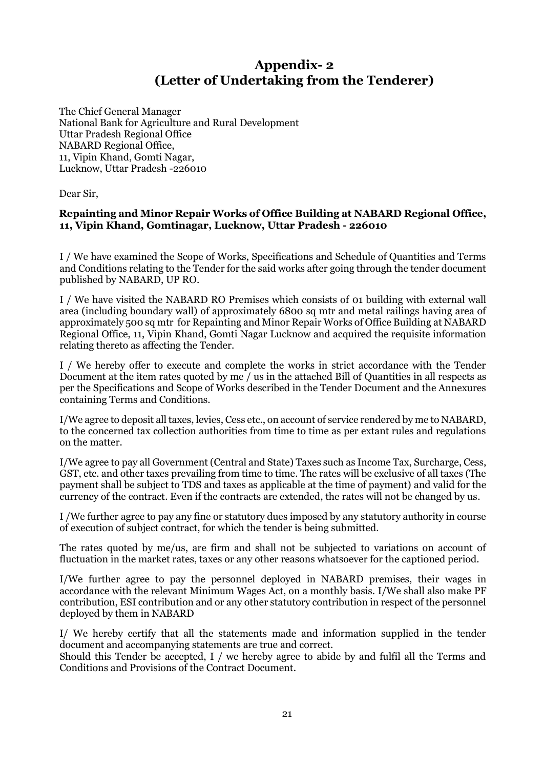# **Appendix- 2 (Letter of Undertaking from the Tenderer)**

The Chief General Manager National Bank for Agriculture and Rural Development Uttar Pradesh Regional Office NABARD Regional Office, 11, Vipin Khand, Gomti Nagar, Lucknow, Uttar Pradesh -226010

Dear Sir,

## **Repainting and Minor Repair Works of Office Building at NABARD Regional Office, 11, Vipin Khand, Gomtinagar, Lucknow, Uttar Pradesh - 226010**

I / We have examined the Scope of Works, Specifications and Schedule of Quantities and Terms and Conditions relating to the Tender for the said works after going through the tender document published by NABARD, UP RO.

I / We have visited the NABARD RO Premises which consists of 01 building with external wall area (including boundary wall) of approximately 6800 sq mtr and metal railings having area of approximately 500 sq mtr for Repainting and Minor Repair Works of Office Building at NABARD Regional Office, 11, Vipin Khand, Gomti Nagar Lucknow and acquired the requisite information relating thereto as affecting the Tender.

I / We hereby offer to execute and complete the works in strict accordance with the Tender Document at the item rates quoted by me / us in the attached Bill of Quantities in all respects as per the Specifications and Scope of Works described in the Tender Document and the Annexures containing Terms and Conditions.

I/We agree to deposit all taxes, levies, Cess etc., on account of service rendered by me to NABARD, to the concerned tax collection authorities from time to time as per extant rules and regulations on the matter.

I/We agree to pay all Government (Central and State) Taxes such as Income Tax, Surcharge, Cess, GST, etc. and other taxes prevailing from time to time. The rates will be exclusive of all taxes (The payment shall be subject to TDS and taxes as applicable at the time of payment) and valid for the currency of the contract. Even if the contracts are extended, the rates will not be changed by us.

I /We further agree to pay any fine or statutory dues imposed by any statutory authority in course of execution of subject contract, for which the tender is being submitted.

The rates quoted by me/us, are firm and shall not be subjected to variations on account of fluctuation in the market rates, taxes or any other reasons whatsoever for the captioned period.

I/We further agree to pay the personnel deployed in NABARD premises, their wages in accordance with the relevant Minimum Wages Act, on a monthly basis. I/We shall also make PF contribution, ESI contribution and or any other statutory contribution in respect of the personnel deployed by them in NABARD

I/ We hereby certify that all the statements made and information supplied in the tender document and accompanying statements are true and correct.

Should this Tender be accepted, I / we hereby agree to abide by and fulfil all the Terms and Conditions and Provisions of the Contract Document.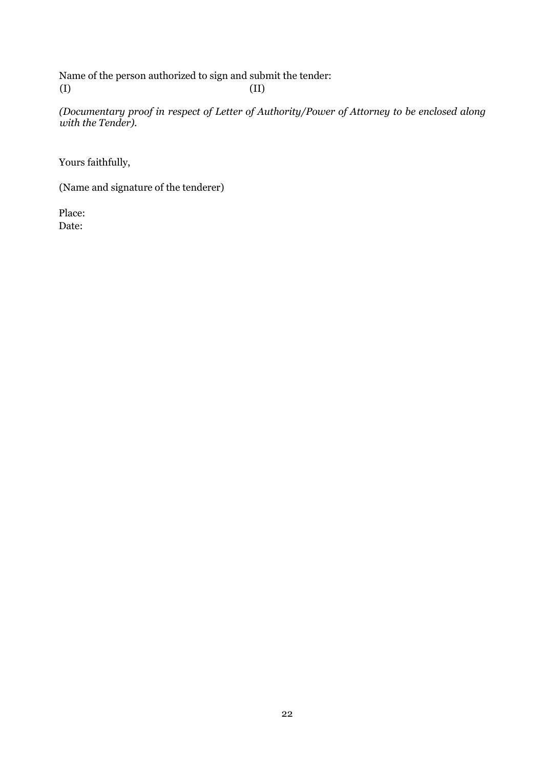Name of the person authorized to sign and submit the tender:  $\qquad \qquad \text{(II)}$ 

*(Documentary proof in respect of Letter of Authority/Power of Attorney to be enclosed along with the Tender).* 

Yours faithfully,

(Name and signature of the tenderer)

 Place: Date: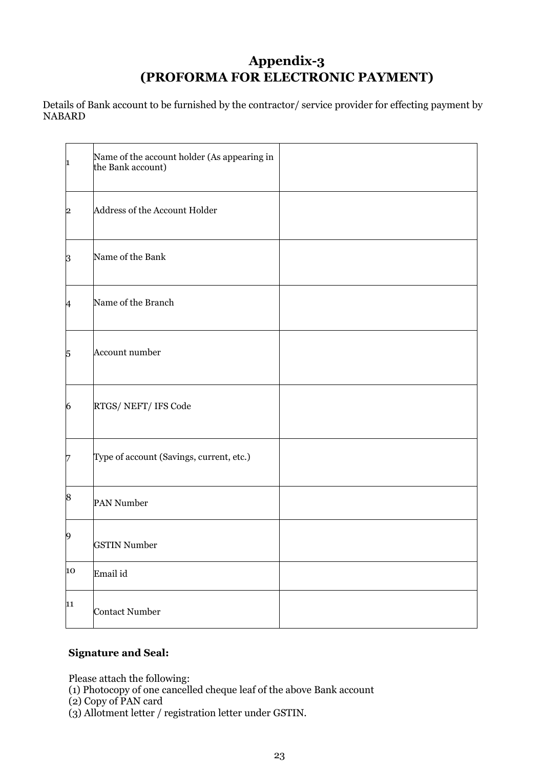# **Appendix-3 (PROFORMA FOR ELECTRONIC PAYMENT)**

Details of Bank account to be furnished by the contractor/ service provider for effecting payment by NABARD

| 1                | Name of the account holder (As appearing in<br>the Bank account) |
|------------------|------------------------------------------------------------------|
| $\overline{2}$   | Address of the Account Holder                                    |
| 3                | Name of the Bank                                                 |
| $\overline{A}$   | Name of the Branch                                               |
| 5                | Account number                                                   |
| 6                | RTGS/NEFT/IFS Code                                               |
| 7                | Type of account (Savings, current, etc.)                         |
| $\boldsymbol{8}$ | PAN Number                                                       |
| $\boldsymbol{9}$ | <b>GSTIN Number</b>                                              |
| 10               | Email id                                                         |
| 11               | <b>Contact Number</b>                                            |

# **Signature and Seal:**

Please attach the following:

(1) Photocopy of one cancelled cheque leaf of the above Bank account

(2) Copy of PAN card

(3) Allotment letter / registration letter under GSTIN.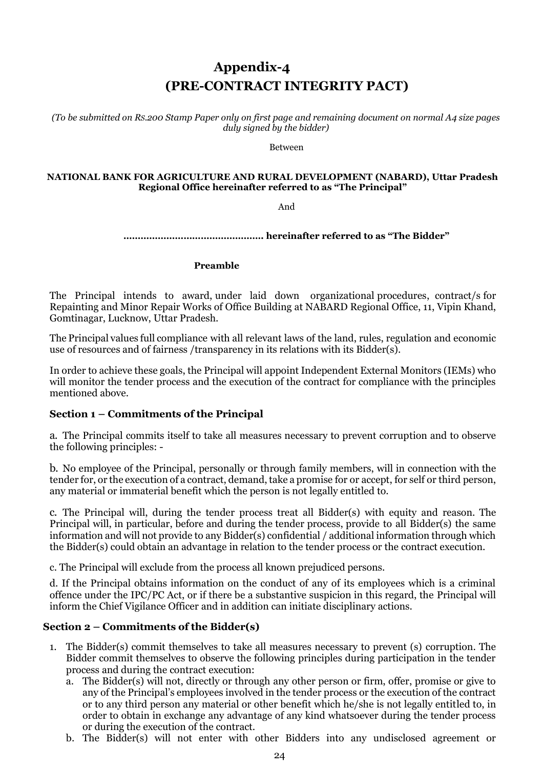# **Appendix-4 (PRE-CONTRACT INTEGRITY PACT)**

*(To be submitted on RS.200 Stamp Paper only on first page and remaining document on normal A4 size pages duly signed by the bidder)*

Between

#### **NATIONAL BANK FOR AGRICULTURE AND RURAL DEVELOPMENT (NABARD), Uttar Pradesh Regional Office hereinafter referred to as "The Principal"**

And

**…………………………………………. hereinafter referred to as "The Bidder"**

 **Preamble**

The Principal intends to award, under laid down organizational procedures, contract/s for Repainting and Minor Repair Works of Office Building at NABARD Regional Office, 11, Vipin Khand, Gomtinagar, Lucknow, Uttar Pradesh.

The Principal values full compliance with all relevant laws of the land, rules, regulation and economic use of resources and of fairness /transparency in its relations with its Bidder(s).

In order to achieve these goals, the Principal will appoint Independent External Monitors (IEMs) who will monitor the tender process and the execution of the contract for compliance with the principles mentioned above.

## **Section 1 – Commitments of the Principal**

a. The Principal commits itself to take all measures necessary to prevent corruption and to observe the following principles: -

b. No employee of the Principal, personally or through family members, will in connection with the tender for, or the execution of a contract, demand, take a promise for or accept, for self or third person, any material or immaterial benefit which the person is not legally entitled to.

c. The Principal will, during the tender process treat all Bidder(s) with equity and reason. The Principal will, in particular, before and during the tender process, provide to all Bidder(s) the same information and will not provide to any Bidder(s) confidential / additional information through which the Bidder(s) could obtain an advantage in relation to the tender process or the contract execution.

c. The Principal will exclude from the process all known prejudiced persons.

d. If the Principal obtains information on the conduct of any of its employees which is a criminal offence under the IPC/PC Act, or if there be a substantive suspicion in this regard, the Principal will inform the Chief Vigilance Officer and in addition can initiate disciplinary actions.

## **Section 2 – Commitments of the Bidder(s)**

- 1. The Bidder(s) commit themselves to take all measures necessary to prevent (s) corruption. The Bidder commit themselves to observe the following principles during participation in the tender process and during the contract execution:
	- a. The Bidder(s) will not, directly or through any other person or firm, offer, promise or give to any of the Principal's employees involved in the tender process or the execution of the contract or to any third person any material or other benefit which he/she is not legally entitled to, in order to obtain in exchange any advantage of any kind whatsoever during the tender process or during the execution of the contract.
	- b. The Bidder(s) will not enter with other Bidders into any undisclosed agreement or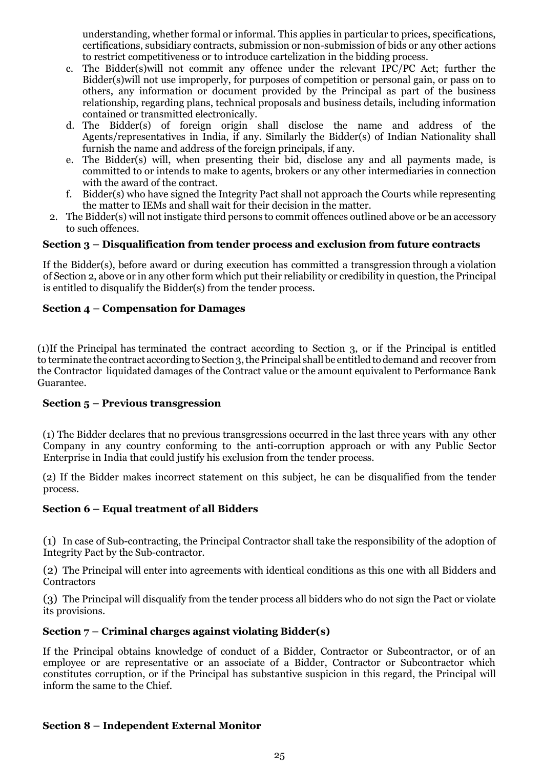understanding, whether formal or informal. This applies in particular to prices, specifications, certifications, subsidiary contracts, submission or non-submission of bids or any other actions to restrict competitiveness or to introduce cartelization in the bidding process.

- c. The Bidder(s)will not commit any offence under the relevant IPC/PC Act; further the Bidder(s)will not use improperly, for purposes of competition or personal gain, or pass on to others, any information or document provided by the Principal as part of the business relationship, regarding plans, technical proposals and business details, including information contained or transmitted electronically.
- d. The Bidder(s) of foreign origin shall disclose the name and address of the Agents/representatives in India, if any. Similarly the Bidder(s) of Indian Nationality shall furnish the name and address of the foreign principals, if any.
- e. The Bidder(s) will, when presenting their bid, disclose any and all payments made, is committed to or intends to make to agents, brokers or any other intermediaries in connection with the award of the contract.
- f. Bidder(s) who have signed the Integrity Pact shall not approach the Courts while representing the matter to IEMs and shall wait for their decision in the matter.
- 2. The Bidder(s) will not instigate third persons to commit offences outlined above or be an accessory to such offences.

# **Section 3 – Disqualification from tender process and exclusion from future contracts**

If the Bidder(s), before award or during execution has committed a transgression through a violation of Section 2, above or in any other form which put their reliability or credibility in question, the Principal is entitled to disqualify the Bidder(s) from the tender process.

# **Section 4 – Compensation for Damages**

(1)If the Principal has terminated the contract according to Section 3, or if the Principal is entitled to terminate the contract according to Section 3, the Principal shall be entitled to demand and recover from the Contractor liquidated damages of the Contract value or the amount equivalent to Performance Bank Guarantee.

## **Section 5 – Previous transgression**

(1) The Bidder declares that no previous transgressions occurred in the last three years with any other Company in any country conforming to the anti-corruption approach or with any Public Sector Enterprise in India that could justify his exclusion from the tender process.

(2) If the Bidder makes incorrect statement on this subject, he can be disqualified from the tender process.

# **Section 6 – Equal treatment of all Bidders**

(1) In case of Sub-contracting, the Principal Contractor shall take the responsibility of the adoption of Integrity Pact by the Sub-contractor.

(2) The Principal will enter into agreements with identical conditions as this one with all Bidders and **Contractors** 

(3) The Principal will disqualify from the tender process all bidders who do not sign the Pact or violate its provisions.

# **Section 7 – Criminal charges against violating Bidder(s)**

If the Principal obtains knowledge of conduct of a Bidder, Contractor or Subcontractor, or of an employee or are representative or an associate of a Bidder, Contractor or Subcontractor which constitutes corruption, or if the Principal has substantive suspicion in this regard, the Principal will inform the same to the Chief.

# **Section 8 – Independent External Monitor**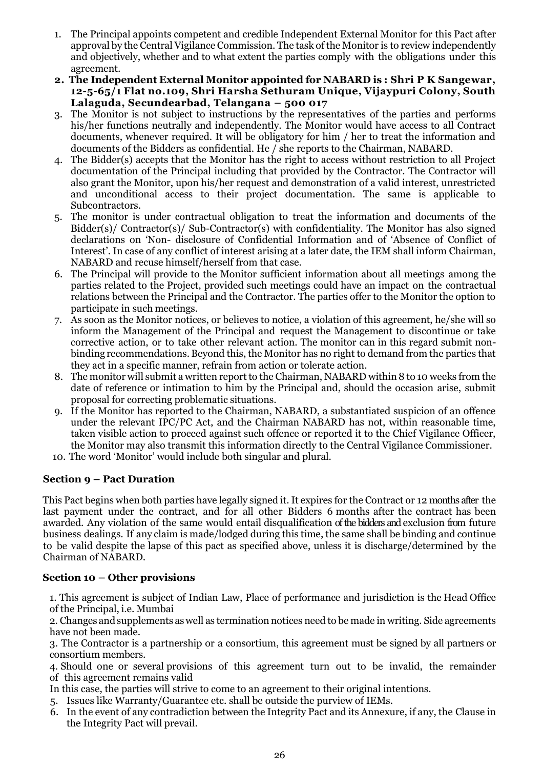- 1. The Principal appoints competent and credible Independent External Monitor for this Pact after approval by the Central Vigilance Commission. The task of the Monitor is to review independently and objectively, whether and to what extent the parties comply with the obligations under this agreement.
- **2. The Independent External Monitor appointed for NABARD is : Shri P K Sangewar, 12-5-65/1 Flat no.109, Shri Harsha Sethuram Unique, Vijaypuri Colony, South Lalaguda, Secundearbad, Telangana – 500 017**
- 3. The Monitor is not subject to instructions by the representatives of the parties and performs his/her functions neutrally and independently. The Monitor would have access to all Contract documents, whenever required. It will be obligatory for him / her to treat the information and documents of the Bidders as confidential. He / she reports to the Chairman, NABARD.
- 4. The Bidder(s) accepts that the Monitor has the right to access without restriction to all Project documentation of the Principal including that provided by the Contractor. The Contractor will also grant the Monitor, upon his/her request and demonstration of a valid interest, unrestricted and unconditional access to their project documentation. The same is applicable to Subcontractors.
- 5. The monitor is under contractual obligation to treat the information and documents of the Bidder(s)/ Contractor(s)/ Sub-Contractor(s) with confidentiality. The Monitor has also signed declarations on 'Non- disclosure of Confidential Information and of 'Absence of Conflict of Interest'. In case of any conflict of interest arising at a later date, the IEM shall inform Chairman, NABARD and recuse himself/herself from that case.
- 6. The Principal will provide to the Monitor sufficient information about all meetings among the parties related to the Project, provided such meetings could have an impact on the contractual relations between the Principal and the Contractor. The parties offer to the Monitor the option to participate in such meetings.
- 7. As soon as the Monitor notices, or believes to notice, a violation of this agreement, he/she will so inform the Management of the Principal and request the Management to discontinue or take corrective action, or to take other relevant action. The monitor can in this regard submit nonbinding recommendations.Beyond this, the Monitor has no right to demand from the parties that they act in a specific manner, refrain from action or tolerate action.
- 8. The monitor will submit a written report to the Chairman, NABARD within 8 to 10 weeks from the date of reference or intimation to him by the Principal and, should the occasion arise, submit proposal for correcting problematic situations.
- 9. If the Monitor has reported to the Chairman, NABARD, a substantiated suspicion of an offence under the relevant IPC/PC Act, and the Chairman NABARD has not, within reasonable time, taken visible action to proceed against such offence or reported it to the Chief Vigilance Officer, the Monitor may also transmit this information directly to the Central Vigilance Commissioner.
- 10. The word 'Monitor' would include both singular and plural.

# **Section 9 – Pact Duration**

This Pact begins when both parties have legally signed it. It expires for the Contract or 12 months after the last payment under the contract, and for all other Bidders 6 months after the contract has been awarded. Any violation of the same would entail disqualification ofthe bidders and exclusion from future business dealings. If any claim is made/lodged during this time, the same shall be binding and continue to be valid despite the lapse of this pact as specified above, unless it is discharge/determined by the Chairman of NABARD.

## **Section 10 – Other provisions**

1. This agreement is subject of Indian Law, Place of performance and jurisdiction is the Head Office of the Principal, i.e. Mumbai

2. Changes andsupplements aswell as termination notices need to be made in writing. Side agreements have not been made.

3. The Contractor is a partnership or a consortium, this agreement must be signed by all partners or consortium members.

4. Should one or several provisions of this agreement turn out to be invalid, the remainder of this agreement remains valid

- In this case, the parties will strive to come to an agreement to their original intentions.
- 5. Issues like Warranty/Guarantee etc. shall be outside the purview of IEMs.
- 6. In the event of any contradiction between the Integrity Pact and its Annexure, if any, the Clause in the Integrity Pact will prevail.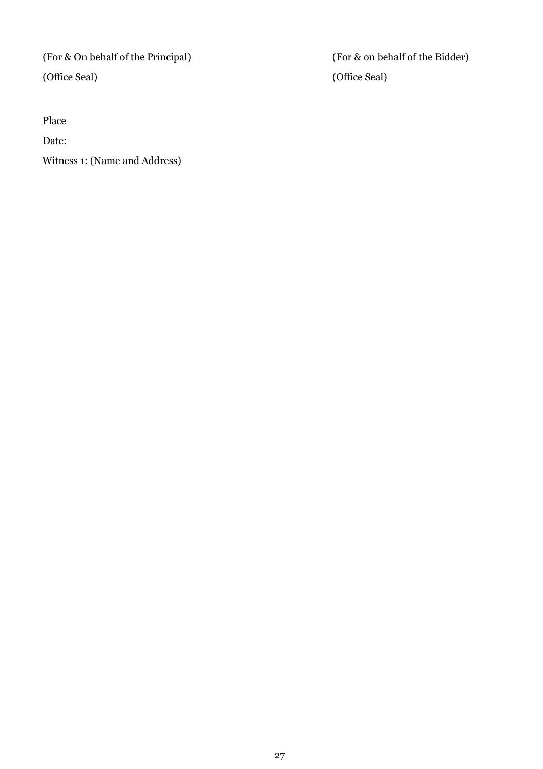Place

Date:

Witness 1: (Name and Address)

(For & On behalf of the Principal) (For & on behalf of the Bidder) (Office Seal) (Office Seal)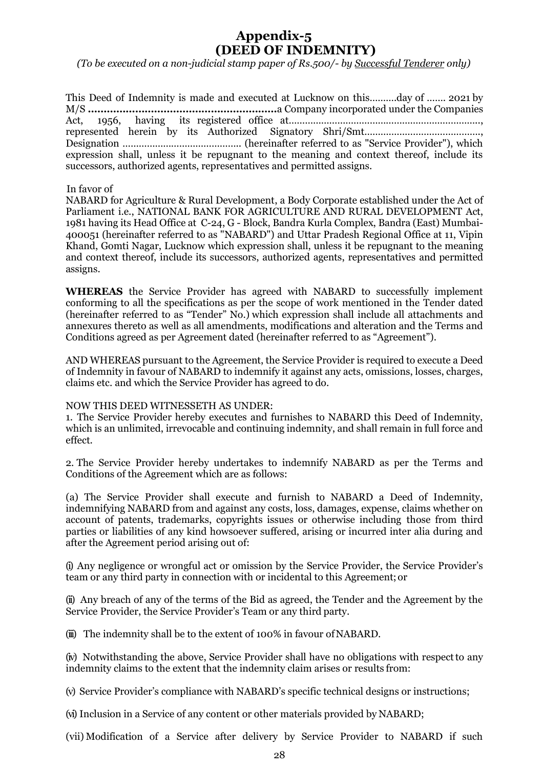# **Appendix-5 (DEED OF INDEMNITY)**

*(To be executed on a non-judicial stamp paper of Rs.500/- by Successful Tenderer only)*

| This Deed of Indemnity is made and executed at Lucknow on thisday of  2021 by            |  |  |  |  |  |
|------------------------------------------------------------------------------------------|--|--|--|--|--|
|                                                                                          |  |  |  |  |  |
|                                                                                          |  |  |  |  |  |
|                                                                                          |  |  |  |  |  |
|                                                                                          |  |  |  |  |  |
| expression shall, unless it be repugnant to the meaning and context thereof, include its |  |  |  |  |  |
| successors, authorized agents, representatives and permitted assigns.                    |  |  |  |  |  |
|                                                                                          |  |  |  |  |  |

#### In favor of

NABARD for Agriculture & Rural Development, a Body Corporate established under the Act of Parliament i.e., NATIONAL BANK FOR AGRICULTURE AND RURAL DEVELOPMENT Act, 1981 having its Head Office at C-24, G - Block, Bandra Kurla Complex, Bandra (East) Mumbai-400051 (hereinafter referred to as "NABARD") and Uttar Pradesh Regional Office at 11, Vipin Khand, Gomti Nagar, Lucknow which expression shall, unless it be repugnant to the meaning and context thereof, include its successors, authorized agents, representatives and permitted assigns.

**WHEREAS** the Service Provider has agreed with NABARD to successfully implement conforming to all the specifications as per the scope of work mentioned in the Tender dated (hereinafter referred to as "Tender" No.) which expression shall include all attachments and annexures thereto as well as all amendments, modifications and alteration and the Terms and Conditions agreed as per Agreement dated (hereinafter referred to as "Agreement").

AND WHEREAS pursuant to the Agreement, the Service Provider is required to execute a Deed of Indemnity in favour of NABARD to indemnify it against any acts, omissions, losses, charges, claims etc. and which the Service Provider has agreed to do.

#### NOW THIS DEED WITNESSETH AS UNDER:

1. The Service Provider hereby executes and furnishes to NABARD this Deed of Indemnity, which is an unlimited, irrevocable and continuing indemnity, and shall remain in full force and effect.

2. The Service Provider hereby undertakes to indemnify NABARD as per the Terms and Conditions of the Agreement which are as follows:

(a) The Service Provider shall execute and furnish to NABARD a Deed of Indemnity, indemnifying NABARD from and against any costs, loss, damages, expense, claims whether on account of patents, trademarks, copyrights issues or otherwise including those from third parties or liabilities of any kind howsoever suffered, arising or incurred inter alia during and after the Agreement period arising out of:

(i) Any negligence or wrongful act or omission by the Service Provider, the Service Provider's team or any third party in connection with or incidental to this Agreement;or

(ii) Any breach of any of the terms of the Bid as agreed, the Tender and the Agreement by the Service Provider, the Service Provider's Team or any third party.

(iii) The indemnity shall be to the extent of 100% in favour of NABARD.

(iv) Notwithstanding the above, Service Provider shall have no obligations with respectto any indemnity claims to the extent that the indemnity claim arises or results from:

(v) Service Provider's compliance with NABARD's specific technical designs or instructions;

(vi) Inclusion in a Service of any content or other materials provided by NABARD;

(vii) Modification of a Service after delivery by Service Provider to NABARD if such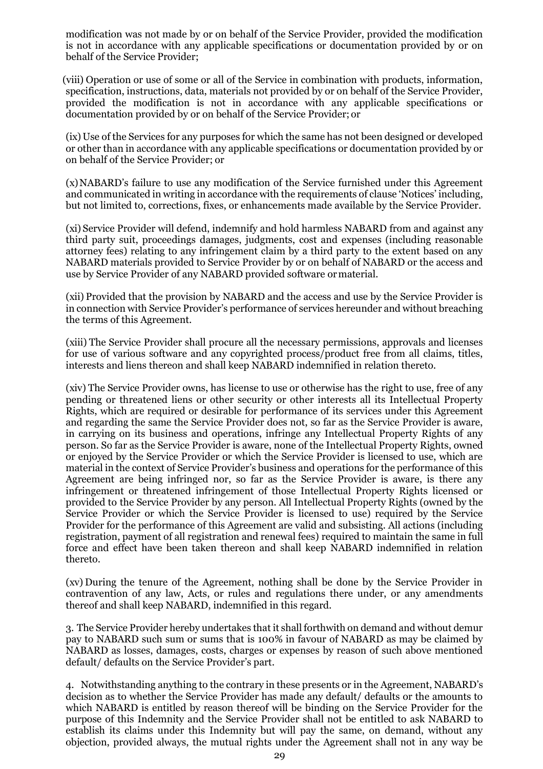modification was not made by or on behalf of the Service Provider, provided the modification is not in accordance with any applicable specifications or documentation provided by or on behalf of the Service Provider;

(viii) Operation or use of some or all of the Service in combination with products, information, specification, instructions, data, materials not provided by or on behalf of the Service Provider, provided the modification is not in accordance with any applicable specifications or documentation provided by or on behalf of the Service Provider; or

(ix) Use of the Services for any purposes for which the same has not been designed or developed or other than in accordance with any applicable specifications or documentation provided by or on behalf of the Service Provider; or

(x)NABARD's failure to use any modification of the Service furnished under this Agreement and communicated in writing in accordance with the requirements of clause 'Notices' including, but not limited to, corrections, fixes, or enhancements made available by the Service Provider.

(xi) Service Provider will defend, indemnify and hold harmless NABARD from and against any third party suit, proceedings damages, judgments, cost and expenses (including reasonable attorney fees) relating to any infringement claim by a third party to the extent based on any NABARD materials provided to Service Provider by or on behalf of NABARD or the access and use by Service Provider of any NABARD provided software ormaterial.

(xii) Provided that the provision by NABARD and the access and use by the Service Provider is in connection with Service Provider's performance of services hereunder and without breaching the terms of this Agreement.

(xiii) The Service Provider shall procure all the necessary permissions, approvals and licenses for use of various software and any copyrighted process/product free from all claims, titles, interests and liens thereon and shall keep NABARD indemnified in relation thereto.

(xiv) The Service Provider owns, has license to use or otherwise has the right to use, free of any pending or threatened liens or other security or other interests all its Intellectual Property Rights, which are required or desirable for performance of its services under this Agreement and regarding the same the Service Provider does not, so far as the Service Provider is aware, in carrying on its business and operations, infringe any Intellectual Property Rights of any person. So far as the Service Provider is aware, none of the Intellectual Property Rights, owned or enjoyed by the Service Provider or which the Service Provider is licensed to use, which are material in the context of Service Provider's business and operations for the performance of this Agreement are being infringed nor, so far as the Service Provider is aware, is there any infringement or threatened infringement of those Intellectual Property Rights licensed or provided to the Service Provider by any person. All Intellectual Property Rights (owned by the Service Provider or which the Service Provider is licensed to use) required by the Service Provider for the performance of this Agreement are valid and subsisting. All actions (including registration, payment of all registration and renewal fees) required to maintain the same in full force and effect have been taken thereon and shall keep NABARD indemnified in relation thereto.

(xv) During the tenure of the Agreement, nothing shall be done by the Service Provider in contravention of any law, Acts, or rules and regulations there under, or any amendments thereof and shall keep NABARD, indemnified in this regard.

3. The Service Provider hereby undertakes that it shall forthwith on demand and without demur pay to NABARD such sum or sums that is 100% in favour of NABARD as may be claimed by NABARD as losses, damages, costs, charges or expenses by reason of such above mentioned default/ defaults on the Service Provider's part.

4. Notwithstanding anything to the contrary in these presents or in the Agreement, NABARD's decision as to whether the Service Provider has made any default/ defaults or the amounts to which NABARD is entitled by reason thereof will be binding on the Service Provider for the purpose of this Indemnity and the Service Provider shall not be entitled to ask NABARD to establish its claims under this Indemnity but will pay the same, on demand, without any objection, provided always, the mutual rights under the Agreement shall not in any way be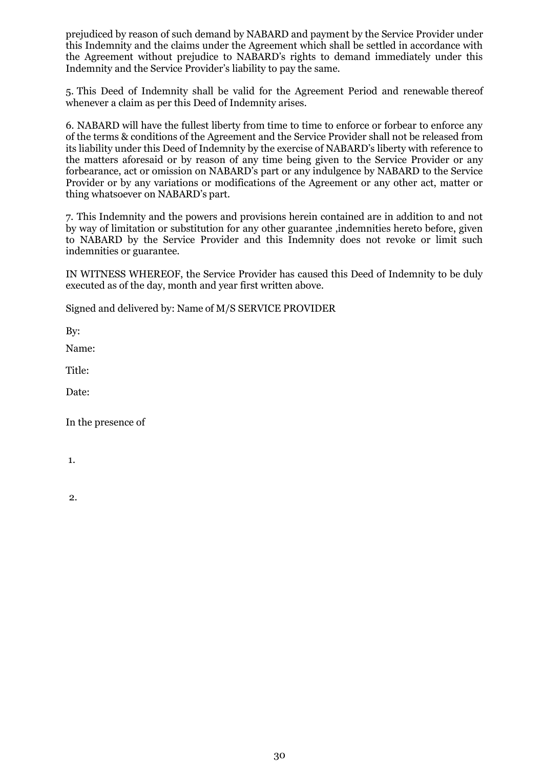prejudiced by reason of such demand by NABARD and payment by the Service Provider under this Indemnity and the claims under the Agreement which shall be settled in accordance with the Agreement without prejudice to NABARD's rights to demand immediately under this Indemnity and the Service Provider's liability to pay the same.

5. This Deed of Indemnity shall be valid for the Agreement Period and renewable thereof whenever a claim as per this Deed of Indemnity arises.

6. NABARD will have the fullest liberty from time to time to enforce or forbear to enforce any of the terms & conditions of the Agreement and the Service Provider shall not be released from its liability under this Deed of Indemnity by the exercise of NABARD's liberty with reference to the matters aforesaid or by reason of any time being given to the Service Provider or any forbearance, act or omission on NABARD's part or any indulgence by NABARD to the Service Provider or by any variations or modifications of the Agreement or any other act, matter or thing whatsoever on NABARD's part.

7. This Indemnity and the powers and provisions herein contained are in addition to and not by way of limitation or substitution for any other guarantee ,indemnities hereto before, given to NABARD by the Service Provider and this Indemnity does not revoke or limit such indemnities or guarantee.

IN WITNESS WHEREOF, the Service Provider has caused this Deed of Indemnity to be duly executed as of the day, month and year first written above.

Signed and delivered by: Name of M/S SERVICE PROVIDER

By:

Name:

Title:

Date:

In the presence of

1.

2.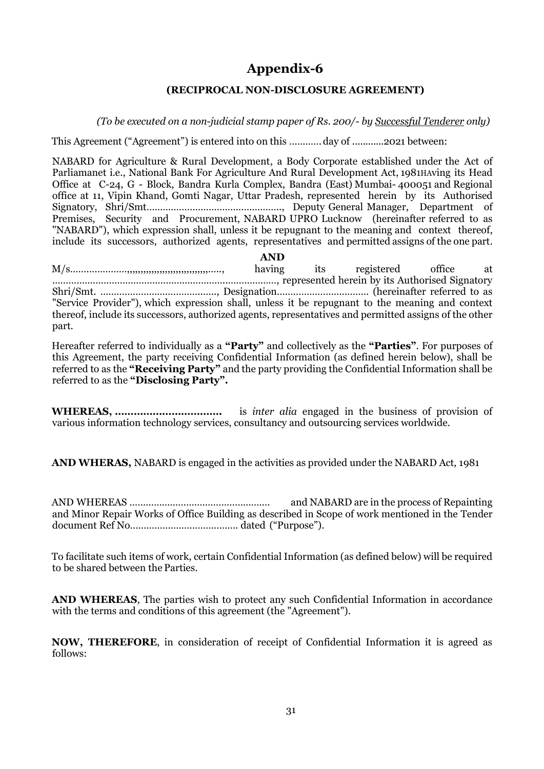# **Appendix-6**

## **(RECIPROCAL NON-DISCLOSURE AGREEMENT)**

*(To be executed on a non-judicial stamp paper of Rs. 200/- by Successful Tenderer only)*

This Agreement ("Agreement") is entered into on this ………… day of ............2021 between:

NABARD for Agriculture & Rural Development, a Body Corporate established under the Act of Parliamanet i.e., National Bank For Agriculture And Rural Development Act, 1981HAving its Head Office at C-24, G - Block, Bandra Kurla Complex, Bandra (East) Mumbai- 400051 and Regional office at 11, Vipin Khand, Gomti Nagar, Uttar Pradesh, represented herein by its Authorised Signatory, Shri/Smt………………………………………….., Deputy General Manager, Department of Premises, Security and Procurement, NABARD UPRO Lucknow (hereinafter referred to as "NABARD"), which expression shall, unless it be repugnant to the meaning and context thereof, include its successors, authorized agents, representatives and permitted assigns of the one part.

**AND** M/s…………………,,,,,,,,,,,,,,,,,,,,,,,,,,,,,,….., having its registered office at ………………………………………………………..………………, represented herein by its Authorised Signatory Shri/Smt. ………………………………..….., Designation……………………………. (hereinafter referred to as "Service Provider"), which expression shall, unless it be repugnant to the meaning and context thereof, include its successors, authorized agents, representatives and permitted assigns of the other part.

Hereafter referred to individually as a **"Party"** and collectively as the **"Parties"**. For purposes of this Agreement, the party receiving Confidential Information (as defined herein below), shall be referred to as the **"Receiving Party"** and the party providing the Confidential Information shall be referred to as the **"Disclosing Party".**

**WHEREAS, …………………………….** is *inter alia* engaged in the business of provision of various information technology services, consultancy and outsourcing services worldwide.

**AND WHERAS,** NABARD is engaged in the activities as provided under the NABARD Act, 1981

AND WHEREAS ……………………………………………. and NABARD are in the process of Repainting and Minor Repair Works of Office Building as described in Scope of work mentioned in the Tender document Ref No…………………………………. dated ("Purpose").

To facilitate such items of work, certain Confidential Information (as defined below) will be required to be shared between the Parties.

**AND WHEREAS**, The parties wish to protect any such Confidential Information in accordance with the terms and conditions of this agreement (the "Agreement").

**NOW, THEREFORE**, in consideration of receipt of Confidential Information it is agreed as follows: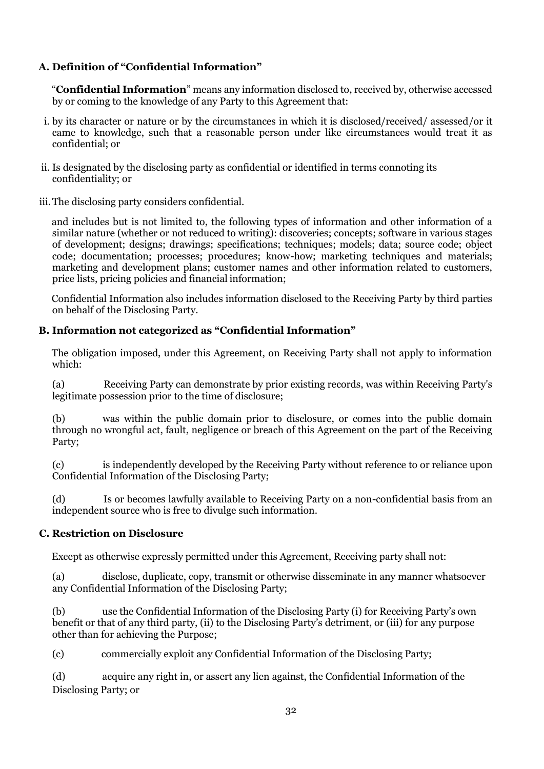# **A. Definition of "Confidential Information"**

"**Confidential Information**" means any information disclosed to, received by, otherwise accessed by or coming to the knowledge of any Party to this Agreement that:

- i. by its character or nature or by the circumstances in which it is disclosed/received/ assessed/or it came to knowledge, such that a reasonable person under like circumstances would treat it as confidential; or
- ii. Is designated by the disclosing party as confidential or identified in terms connoting its confidentiality; or
- iii.The disclosing party considers confidential.

and includes but is not limited to, the following types of information and other information of a similar nature (whether or not reduced to writing): discoveries; concepts; software in various stages of development; designs; drawings; specifications; techniques; models; data; source code; object code; documentation; processes; procedures; know-how; marketing techniques and materials; marketing and development plans; customer names and other information related to customers, price lists, pricing policies and financial information;

Confidential Information also includes information disclosed to the Receiving Party by third parties on behalf of the Disclosing Party.

# **B. Information not categorized as "Confidential Information"**

The obligation imposed, under this Agreement, on Receiving Party shall not apply to information which:

(a) Receiving Party can demonstrate by prior existing records, was within Receiving Party's legitimate possession prior to the time of disclosure;

(b) was within the public domain prior to disclosure, or comes into the public domain through no wrongful act, fault, negligence or breach of this Agreement on the part of the Receiving Party;

(c) is independently developed by the Receiving Party without reference to or reliance upon Confidential Information of the Disclosing Party;

(d) Is or becomes lawfully available to Receiving Party on a non-confidential basis from an independent source who is free to divulge such information.

# **C. Restriction on Disclosure**

Except as otherwise expressly permitted under this Agreement, Receiving party shall not:

(a) disclose, duplicate, copy, transmit or otherwise disseminate in any manner whatsoever any Confidential Information of the Disclosing Party;

(b) use the Confidential Information of the Disclosing Party (i) for Receiving Party's own benefit or that of any third party, (ii) to the Disclosing Party's detriment, or (iii) for any purpose other than for achieving the Purpose;

(c) commercially exploit any Confidential Information of the Disclosing Party;

(d) acquire any right in, or assert any lien against, the Confidential Information of the Disclosing Party; or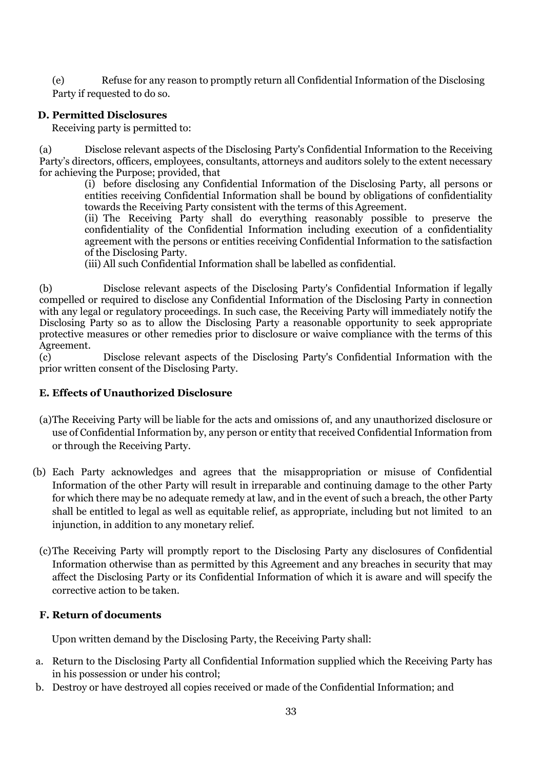(e) Refuse for any reason to promptly return all Confidential Information of the Disclosing Party if requested to do so.

## **D. Permitted Disclosures**

Receiving party is permitted to:

(a) Disclose relevant aspects of the Disclosing Party's Confidential Information to the Receiving Party's directors, officers, employees, consultants, attorneys and auditors solely to the extent necessary for achieving the Purpose; provided, that

(i) before disclosing any Confidential Information of the Disclosing Party, all persons or entities receiving Confidential Information shall be bound by obligations of confidentiality towards the Receiving Party consistent with the terms of this Agreement.

(ii) The Receiving Party shall do everything reasonably possible to preserve the confidentiality of the Confidential Information including execution of a confidentiality agreement with the persons or entities receiving Confidential Information to the satisfaction of the Disclosing Party.

(iii) All such Confidential Information shall be labelled as confidential.

(b) Disclose relevant aspects of the Disclosing Party's Confidential Information if legally compelled or required to disclose any Confidential Information of the Disclosing Party in connection with any legal or regulatory proceedings. In such case, the Receiving Party will immediately notify the Disclosing Party so as to allow the Disclosing Party a reasonable opportunity to seek appropriate protective measures or other remedies prior to disclosure or waive compliance with the terms of this Agreement.

(c) Disclose relevant aspects of the Disclosing Party's Confidential Information with the prior written consent of the Disclosing Party.

## **E. Effects of Unauthorized Disclosure**

- (a)The Receiving Party will be liable for the acts and omissions of, and any unauthorized disclosure or use of Confidential Information by, any person or entity that received Confidential Information from or through the Receiving Party.
- (b) Each Party acknowledges and agrees that the misappropriation or misuse of Confidential Information of the other Party will result in irreparable and continuing damage to the other Party for which there may be no adequate remedy at law, and in the event of such a breach, the other Party shall be entitled to legal as well as equitable relief, as appropriate, including but not limited to an injunction, in addition to any monetary relief.
	- (c)The Receiving Party will promptly report to the Disclosing Party any disclosures of Confidential Information otherwise than as permitted by this Agreement and any breaches in security that may affect the Disclosing Party or its Confidential Information of which it is aware and will specify the corrective action to be taken.

## **F. Return of documents**

Upon written demand by the Disclosing Party, the Receiving Party shall:

- a. Return to the Disclosing Party all Confidential Information supplied which the Receiving Party has in his possession or under his control;
- b. Destroy or have destroyed all copies received or made of the Confidential Information; and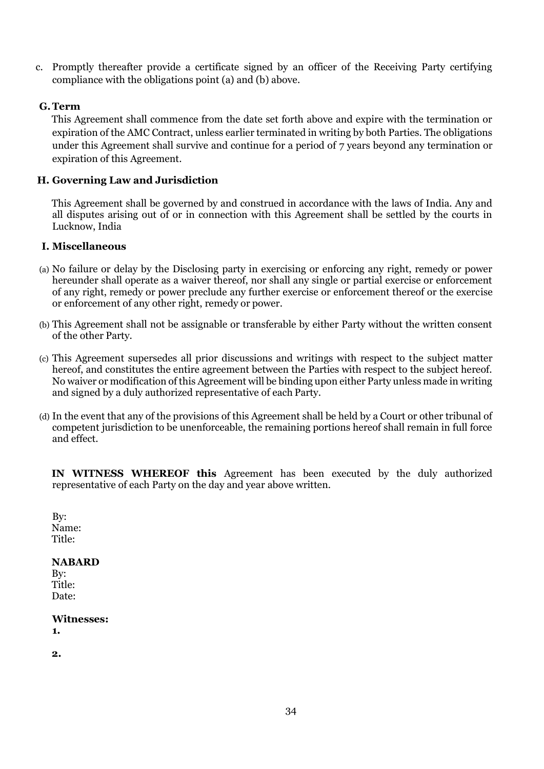c. Promptly thereafter provide a certificate signed by an officer of the Receiving Party certifying compliance with the obligations point (a) and (b) above.

## **G.Term**

This Agreement shall commence from the date set forth above and expire with the termination or expiration of the AMC Contract, unless earlier terminated in writing by both Parties. The obligations under this Agreement shall survive and continue for a period of 7 years beyond any termination or expiration of this Agreement.

## **H. Governing Law and Jurisdiction**

This Agreement shall be governed by and construed in accordance with the laws of India. Any and all disputes arising out of or in connection with this Agreement shall be settled by the courts in Lucknow, India

## **I. Miscellaneous**

- (a) No failure or delay by the Disclosing party in exercising or enforcing any right, remedy or power hereunder shall operate as a waiver thereof, nor shall any single or partial exercise or enforcement of any right, remedy or power preclude any further exercise or enforcement thereof or the exercise or enforcement of any other right, remedy or power.
- (b) This Agreement shall not be assignable or transferable by either Party without the written consent of the other Party.
- (c) This Agreement supersedes all prior discussions and writings with respect to the subject matter hereof, and constitutes the entire agreement between the Parties with respect to the subject hereof. No waiver or modification of this Agreement will be binding upon either Party unless made in writing and signed by a duly authorized representative of each Party.
- (d) In the event that any of the provisions of this Agreement shall be held by a Court or other tribunal of competent jurisdiction to be unenforceable, the remaining portions hereof shall remain in full force and effect.

**IN WITNESS WHEREOF this** Agreement has been executed by the duly authorized representative of each Party on the day and year above written.

By: Name: Title:

## **NABARD**

By: Title: Date:

#### **Witnesses:**

**1.**

**2.**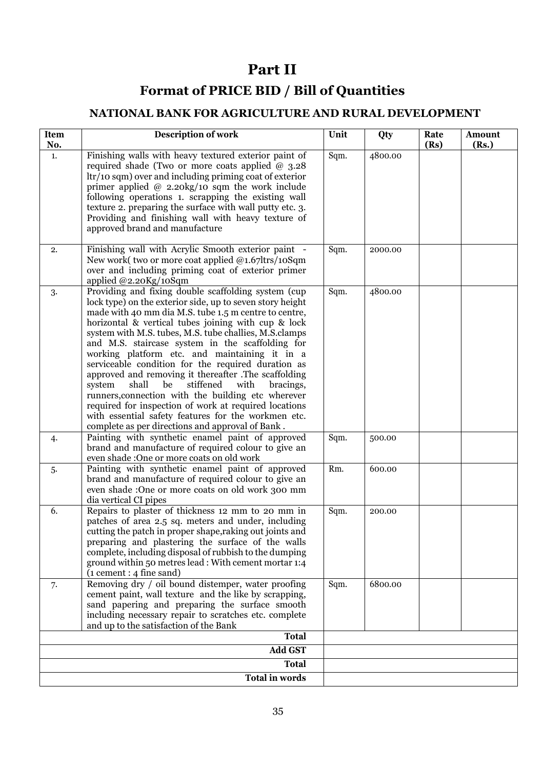# **Part II**

# **Format of PRICE BID / Bill of Quantities**

# **NATIONAL BANK FOR AGRICULTURE AND RURAL DEVELOPMENT**

| Item<br>No.           | <b>Description of work</b>                                                                                                                                                                                                                                                                                                                                                                                                                                                                                                                                                                                                                                                                                                                                                                          | Unit | Qty     | Rate<br>(Rs) | Amount<br>(Rs.) |
|-----------------------|-----------------------------------------------------------------------------------------------------------------------------------------------------------------------------------------------------------------------------------------------------------------------------------------------------------------------------------------------------------------------------------------------------------------------------------------------------------------------------------------------------------------------------------------------------------------------------------------------------------------------------------------------------------------------------------------------------------------------------------------------------------------------------------------------------|------|---------|--------------|-----------------|
| 1.                    | Finishing walls with heavy textured exterior paint of<br>required shade (Two or more coats applied $@$ 3.28<br>ltr/10 sqm) over and including priming coat of exterior<br>primer applied $@$ 2.20kg/10 sqm the work include<br>following operations 1. scrapping the existing wall<br>texture 2. preparing the surface with wall putty etc. 3.<br>Providing and finishing wall with heavy texture of<br>approved brand and manufacture                                                                                                                                                                                                                                                                                                                                                              | Sqm. | 4800.00 |              |                 |
| 2.                    | Finishing wall with Acrylic Smooth exterior paint -<br>New work(two or more coat applied @1.67ltrs/10Sqm<br>over and including priming coat of exterior primer<br>applied @2.20Kg/10Sqm                                                                                                                                                                                                                                                                                                                                                                                                                                                                                                                                                                                                             | Sqm. | 2000.00 |              |                 |
| 3.                    | Providing and fixing double scaffolding system (cup<br>lock type) on the exterior side, up to seven story height<br>made with 40 mm dia M.S. tube 1.5 m centre to centre,<br>horizontal & vertical tubes joining with cup & lock<br>system with M.S. tubes, M.S. tube challies, M.S. clamps<br>and M.S. staircase system in the scaffolding for<br>working platform etc. and maintaining it in a<br>serviceable condition for the required duration as<br>approved and removing it thereafter .The scaffolding<br>shall<br>be<br>stiffened<br>with<br>system<br>bracings,<br>runners, connection with the building etc wherever<br>required for inspection of work at required locations<br>with essential safety features for the workmen etc.<br>complete as per directions and approval of Bank. | Sqm. | 4800.00 |              |                 |
| 4.                    | Painting with synthetic enamel paint of approved<br>brand and manufacture of required colour to give an<br>even shade :One or more coats on old work                                                                                                                                                                                                                                                                                                                                                                                                                                                                                                                                                                                                                                                | Sqm. | 500.00  |              |                 |
| 5.                    | Painting with synthetic enamel paint of approved<br>brand and manufacture of required colour to give an<br>even shade :One or more coats on old work 300 mm<br>dia vertical CI pipes                                                                                                                                                                                                                                                                                                                                                                                                                                                                                                                                                                                                                | Rm.  | 600.00  |              |                 |
| 6.                    | Repairs to plaster of thickness 12 mm to 20 mm in<br>patches of area 2.5 sq. meters and under, including<br>cutting the patch in proper shape, raking out joints and<br>preparing and plastering the surface of the walls<br>complete, including disposal of rubbish to the dumping<br>ground within 50 metres lead : With cement mortar 1:4<br>$(i$ cement : 4 fine sand)                                                                                                                                                                                                                                                                                                                                                                                                                          | Sqm. | 200.00  |              |                 |
| 7.                    | Removing dry / oil bound distemper, water proofing<br>cement paint, wall texture and the like by scrapping,<br>sand papering and preparing the surface smooth<br>including necessary repair to scratches etc. complete<br>and up to the satisfaction of the Bank                                                                                                                                                                                                                                                                                                                                                                                                                                                                                                                                    | Sqm. | 6800.00 |              |                 |
|                       | <b>Total</b>                                                                                                                                                                                                                                                                                                                                                                                                                                                                                                                                                                                                                                                                                                                                                                                        |      |         |              |                 |
|                       | <b>Add GST</b>                                                                                                                                                                                                                                                                                                                                                                                                                                                                                                                                                                                                                                                                                                                                                                                      |      |         |              |                 |
| <b>Total</b>          |                                                                                                                                                                                                                                                                                                                                                                                                                                                                                                                                                                                                                                                                                                                                                                                                     |      |         |              |                 |
| <b>Total in words</b> |                                                                                                                                                                                                                                                                                                                                                                                                                                                                                                                                                                                                                                                                                                                                                                                                     |      |         |              |                 |